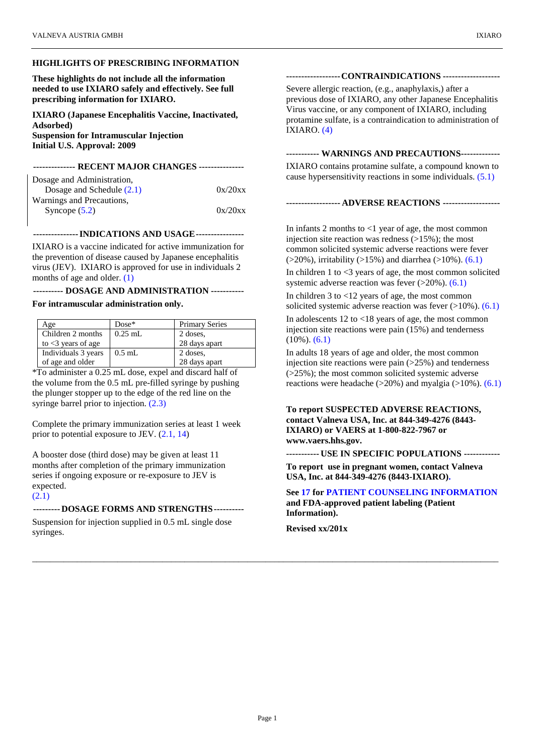## **HIGHLIGHTS OF PRESCRIBING INFORMATION**

**These highlights do not include all the information needed to use IXIARO safely and effectively. See full prescribing information for IXIARO.**

**IXIARO (Japanese Encephalitis Vaccine, Inactivated, Adsorbed) Suspension for Intramuscular Injection Initial U.S. Approval: 2009**

#### **-------------- RECENT MAJOR CHANGES ---------------**

| Dosage and Administration,  |         |
|-----------------------------|---------|
| Dosage and Schedule $(2.1)$ | 0x/20xx |
| Warnings and Precautions,   |         |
| Syncope $(5.2)$             | 0x/20xx |
|                             |         |

## **---------------INDICATIONS AND USAGE----------------**

IXIARO is a vaccine indicated for active immunization for the prevention of disease caused by Japanese encephalitis virus (JEV). IXIARO is approved for use in individuals 2 months of age and older[. \(1\)](#page-2-0)

#### **---------- DOSAGE AND ADMINISTRATION -----------**

#### **For intramuscular administration only.**

| Age                      | $Dose*$   | <b>Primary Series</b> |
|--------------------------|-----------|-----------------------|
| Children 2 months        | $0.25$ mL | 2 doses.              |
| to $\leq$ 3 years of age |           | 28 days apart         |
| Individuals 3 years      | $0.5$ mL  | 2 doses.              |
| of age and older         |           | 28 days apart         |

\*To administer a 0.25 mL dose, expel and discard half of the volume from the 0.5 mL pre-filled syringe by pushing the plunger stopper up to the edge of the red line on the syringe barrel prior to injection.  $(2.3)$ 

Complete the primary immunization series at least 1 week prior to potential exposure to JEV. [\(2.1,](#page-2-2) [14\)](#page-14-0)

A booster dose (third dose) may be given at least 11 months after completion of the primary immunization series if ongoing exposure or re-exposure to JEV is expected.

### [\(2.1\)](#page-2-2)

## **--------- DOSAGE FORMS AND STRENGTHS----------**

Suspension for injection supplied in 0.5 mL single dose syringes.

### **------------------CONTRAINDICATIONS -------------------**

Severe allergic reaction, (e.g., anaphylaxis,) after a previous dose of IXIARO, any other Japanese Encephalitis Virus vaccine, or any component of IXIARO, including protamine sulfate, is a contraindication to administration of IXIARO. [\(4\)](#page-3-0)

## **----------- WARNINGS AND PRECAUTIONS-------------**

IXIARO contains protamine sulfate, a compound known to cause hypersensitivity reactions in some individuals. [\(5.1\)](#page-4-1)

### **------------------ ADVERSE REACTIONS -------------------**

In infants 2 months to  $\leq 1$  year of age, the most common injection site reaction was redness  $(>15\%)$ ; the most common solicited systemic adverse reactions were fever  $($ >20%), irritability (>15%) and diarrhea (>10%). [\(6.1\)](#page-4-2)

In children  $1$  to  $\leq$ 3 years of age, the most common solicited systemic adverse reaction was fever  $(>20\%)$ .  $(6.1)$ 

In children 3 to <12 years of age, the most common solicited systemic adverse reaction was fever  $(>10\%)$ .  $(6.1)$ 

In adolescents 12 to <18 years of age, the most common injection site reactions were pain (15%) and tenderness (10%). [\(6.1\)](#page-4-2)

In adults 18 years of age and older, the most common injection site reactions were pain  $(>25%)$  and tenderness (>25%); the most common solicited systemic adverse reactions were headache  $(>20\%)$  and myalgia  $(>10\%)$ .  $(6.1)$ 

### **To report SUSPECTED ADVERSE REACTIONS, contact Valneva USA, Inc. at 844-349-4276 (8443- IXIARO) or VAERS at 1-800-822-7967 or www.vaers.hhs.gov.**

**----------- USE IN SPECIFIC POPULATIONS ------------**

**To report use in pregnant women, contact Valneva USA, Inc. at 844-349-4276 (8443-IXIARO).**

### **See [17](#page-21-0) for [PATIENT COUNSELING INFORMATION](#page-21-0) and FDA-approved patient labeling (Patient Information).**

**Revised xx/201x**

\_\_\_\_\_\_\_\_\_\_\_\_\_\_\_\_\_\_\_\_\_\_\_\_\_\_\_\_\_\_\_\_\_\_\_\_\_\_\_\_\_\_\_\_\_\_\_\_\_\_\_\_\_\_\_\_\_\_\_\_\_\_\_\_\_\_\_\_\_\_\_\_\_\_\_\_\_\_\_\_\_\_\_\_\_\_\_\_\_\_\_\_\_\_\_\_\_\_\_\_\_\_\_\_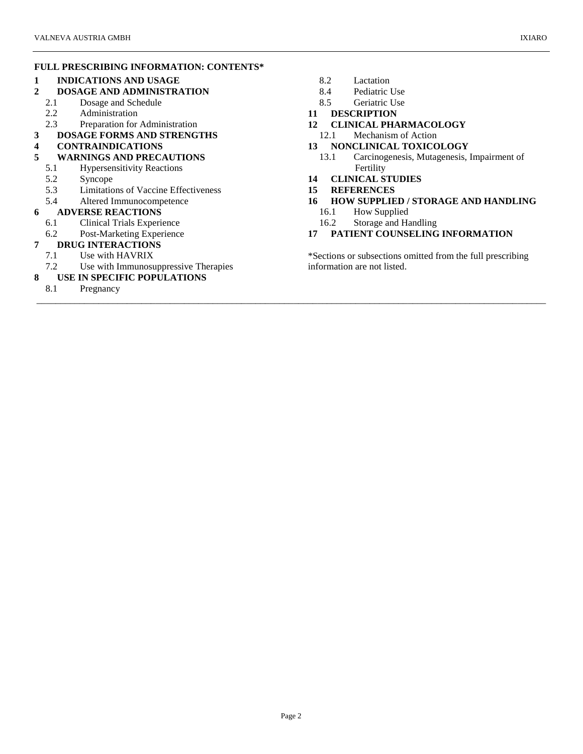## **FULL PRESCRIBING INFORMATION: CONTENTS\***

## **1 [INDICATIONS AND USAGE](#page-2-3)**

- **2 [DOSAGE AND ADMINISTRATION](#page-2-4)**
	- 2.1 [Dosage and Schedule](#page-2-5)
	- 2.2 [Administration](#page-2-6)
	- 2.3 [Preparation for Administration](#page-2-7)
- **3 [DOSAGE FORMS AND STRENGTHS](#page-3-1)**
- **4 [CONTRAINDICATIONS](#page-3-2)**
- **5 [WARNINGS AND PRECAUTIONS](#page-4-3)**
	- 5.1 [Hypersensitivity Reactions](#page-4-4)
	- 5.2 [Syncope](#page-4-5)<br>5.3 Limitatio
	- [Limitations of Vaccine Effectiveness](#page-4-6)
	- 5.4 [Altered Immunocompetence](#page-4-7)

### **6 [ADVERSE REACTIONS](#page-4-8)**

- 6.1 [Clinical Trials Experience](#page-4-9)
- 6.2 [Post-Marketing Experience](#page-12-0)

## **7 [DRUG INTERACTIONS](#page-12-1)**

- 7.1 [Use with HAVRIX](#page-12-2)
- 7.2 [Use with Immunosuppressive Therapies](#page-12-3)
- **8 [USE IN SPECIFIC POPULATIONS](#page-12-4)**
	- 8.1 [Pregnancy](#page-12-5)
- 
- 8.2 [Lactation](#page-13-0)<br>8.4 Pediatric [Pediatric Use](#page-13-1)
- 8.5 [Geriatric Use](#page-13-2)
- **11 [DESCRIPTION](#page-13-3)**
- **12 [CLINICAL PHARMACOLOGY](#page-14-1)**
- 12.1 [Mechanism of Action](#page-14-2)
- **13 [NONCLINICAL TOXICOLOGY](#page-14-3)**<br>13.1 **Carcinogenesis, Mutagenesis,** Carcinogenesis, Mutagenesis, Impairment of [Fertility](#page-14-4)
- **14 [CLINICAL STUDIES](#page-14-5)**
- **15 [REFERENCES](#page-20-0)**

\_\_\_\_\_\_\_\_\_\_\_\_\_\_\_\_\_\_\_\_\_\_\_\_\_\_\_\_\_\_\_\_\_\_\_\_\_\_\_\_\_\_\_\_\_\_\_\_\_\_\_\_\_\_\_\_\_\_\_\_\_\_\_\_\_\_\_\_\_\_\_\_\_\_\_\_\_\_\_\_\_\_\_\_\_\_\_\_\_\_\_\_\_\_\_\_\_\_\_\_\_\_\_\_\_\_\_

- **16 [HOW SUPPLIED / STORAGE AND HANDLING](#page-20-1)**
	- 16.1 [How Supplied](#page-20-2)
	- 16.2 [Storage and Handling](#page-21-1)
- **17 [PATIENT COUNSELING INFORMATION](#page-21-2)**

\*Sections or subsections omitted from the full prescribing information are not listed.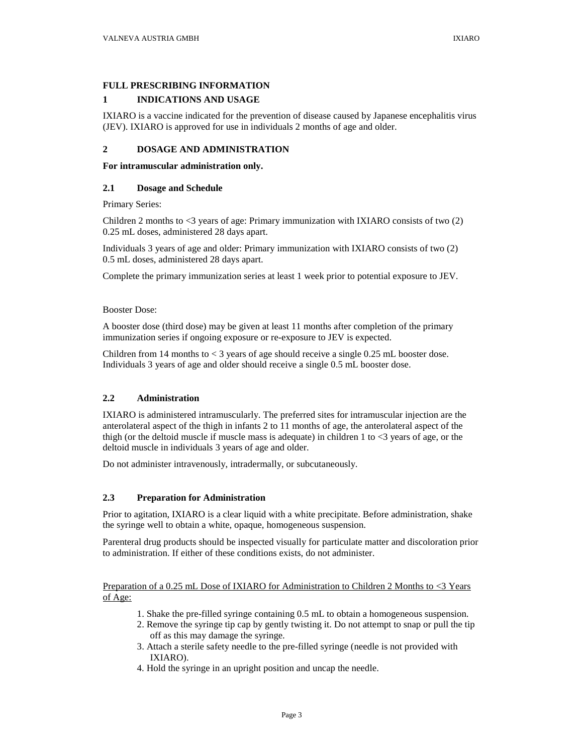### <span id="page-2-8"></span>**FULL PRESCRIBING INFORMATION**

## <span id="page-2-3"></span>**1 INDICATIONS AND USAGE**

<span id="page-2-0"></span>IXIARO is a vaccine indicated for the prevention of disease caused by Japanese encephalitis virus (JEV). IXIARO is approved for use in individuals 2 months of age and older.

## <span id="page-2-4"></span>**2 DOSAGE AND ADMINISTRATION**

### **For intramuscular administration only.**

### <span id="page-2-5"></span>**2.1 Dosage and Schedule**

Primary Series:

<span id="page-2-2"></span>Children 2 months to  $\lt3$  years of age: Primary immunization with IXIARO consists of two (2) 0.25 mL doses, administered 28 days apart.

Individuals 3 years of age and older: Primary immunization with IXIARO consists of two (2) 0.5 mL doses, administered 28 days apart.

Complete the primary immunization series at least 1 week prior to potential exposure to JEV.

### Booster Dose:

A booster dose (third dose) may be given at least 11 months after completion of the primary immunization series if ongoing exposure or re-exposure to JEV is expected.

Children from 14 months to  $\lt 3$  years of age should receive a single 0.25 mL booster dose. Individuals 3 years of age and older should receive a single 0.5 mL booster dose.

## <span id="page-2-6"></span>**2.2 Administration**

IXIARO is administered intramuscularly. The preferred sites for intramuscular injection are the anterolateral aspect of the thigh in infants 2 to 11 months of age, the anterolateral aspect of the thigh (or the deltoid muscle if muscle mass is adequate) in children 1 to  $\lt 3$  years of age, or the deltoid muscle in individuals 3 years of age and older.

Do not administer intravenously, intradermally, or subcutaneously.

### <span id="page-2-7"></span>**2.3 Preparation for Administration**

Prior to agitation, IXIARO is a clear liquid with a white precipitate. Before administration, shake the syringe well to obtain a white, opaque, homogeneous suspension.

<span id="page-2-1"></span>Parenteral drug products should be inspected visually for particulate matter and discoloration prior to administration. If either of these conditions exists, do not administer.

Preparation of a 0.25 mL Dose of IXIARO for Administration to Children 2 Months to <3 Years of Age:

- 1. Shake the pre-filled syringe containing 0.5 mL to obtain a homogeneous suspension.
- 2. Remove the syringe tip cap by gently twisting it. Do not attempt to snap or pull the tip off as this may damage the syringe.
- 3. Attach a sterile safety needle to the pre-filled syringe (needle is not provided with IXIARO).
- 4. Hold the syringe in an upright position and uncap the needle.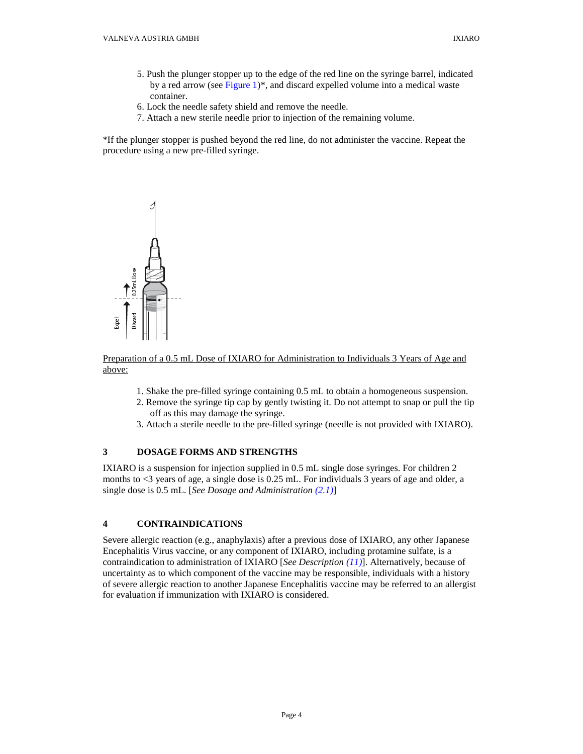- 5. Push the plunger stopper up to the edge of the red line on the syringe barrel, indicated by a red arrow (see [Figure 1\)](#page-3-3)\*, and discard expelled volume into a medical waste container.
- 6. Lock the needle safety shield and remove the needle.
- 7. Attach a new sterile needle prior to injection of the remaining volume.

<span id="page-3-3"></span>\*If the plunger stopper is pushed beyond the red line, do not administer the vaccine. Repeat the procedure using a new pre-filled syringe.



## Preparation of a 0.5 mL Dose of IXIARO for Administration to Individuals 3 Years of Age and above:

- 1. Shake the pre-filled syringe containing 0.5 mL to obtain a homogeneous suspension.
- 2. Remove the syringe tip cap by gently twisting it. Do not attempt to snap or pull the tip off as this may damage the syringe.
- 3. Attach a sterile needle to the pre-filled syringe (needle is not provided with IXIARO).

## <span id="page-3-1"></span>**3 DOSAGE FORMS AND STRENGTHS**

IXIARO is a suspension for injection supplied in 0.5 mL single dose syringes. For children 2 months to <3 years of age, a single dose is 0.25 mL. For individuals 3 years of age and older, a single dose is 0.5 mL. [*[See Dosage and Administration](#page-2-5) (2.1)*]

# <span id="page-3-2"></span>**4 CONTRAINDICATIONS**

<span id="page-3-0"></span>Severe allergic reaction (e.g., anaphylaxis) after a previous dose of IXIARO, any other Japanese Encephalitis Virus vaccine, or any component of IXIARO, including protamine sulfate, is a contraindication to administration of IXIARO [*See Description [\(11\)](#page-13-3)*]. Alternatively, because of uncertainty as to which component of the vaccine may be responsible, individuals with a history of severe allergic reaction to another Japanese Encephalitis vaccine may be referred to an allergist for evaluation if immunization with IXIARO is considered.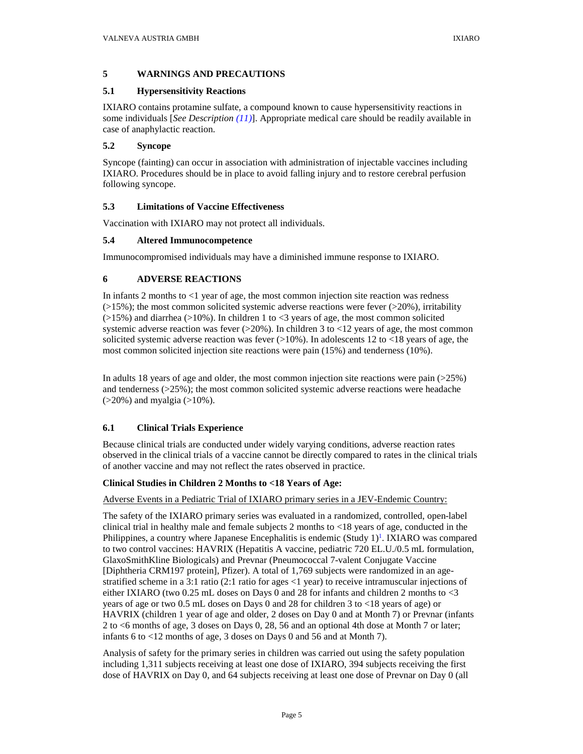## <span id="page-4-3"></span>**5 WARNINGS AND PRECAUTIONS**

## <span id="page-4-4"></span>**5.1 Hypersensitivity Reactions**

IXIARO contains protamine sulfate, a compound known to cause hypersensitivity reactions in some individuals [*See Description [\(11\)](#page-13-3)*]. Appropriate medical care should be readily available in case of anaphylactic reaction.

## <span id="page-4-5"></span><span id="page-4-1"></span>**5.2 Syncope**

Syncope (fainting) can occur in association with administration of injectable vaccines including IXIARO. Procedures should be in place to avoid falling injury and to restore cerebral perfusion following syncope.

# <span id="page-4-6"></span><span id="page-4-0"></span>**5.3 Limitations of Vaccine Effectiveness**

Vaccination with IXIARO may not protect all individuals.

# <span id="page-4-7"></span>**5.4 Altered Immunocompetence**

Immunocompromised individuals may have a diminished immune response to IXIARO.

# <span id="page-4-8"></span>**6 ADVERSE REACTIONS**

In infants 2 months to <1 year of age, the most common injection site reaction was redness  $(>15\%)$ ; the most common solicited systemic adverse reactions were fever  $(>20\%)$ , irritability  $(>15\%)$  and diarrhea ( $>10\%$ ). In children 1 to <3 years of age, the most common solicited systemic adverse reaction was fever  $(>=20\%)$ . In children 3 to  $<12$  years of age, the most common solicited systemic adverse reaction was fever  $(>10\%)$ . In adolescents 12 to <18 years of age, the most common solicited injection site reactions were pain (15%) and tenderness (10%).

In adults 18 years of age and older, the most common injection site reactions were pain  $(25\%)$ and tenderness  $(>=25\%)$ ; the most common solicited systemic adverse reactions were headache  $($ >20%) and myalgia (>10%).

## <span id="page-4-9"></span>**6.1 Clinical Trials Experience**

Because clinical trials are conducted under widely varying conditions, adverse reaction rates observed in the clinical trials of a vaccine cannot be directly compared to rates in the clinical trials of another vaccine and may not reflect the rates observed in practice.

## <span id="page-4-2"></span>**Clinical Studies in Children 2 Months to <18 Years of Age:**

## Adverse Events in a Pediatric Trial of IXIARO primary series in a JEV-Endemic Country:

The safety of the IXIARO primary series was evaluated in a randomized, controlled, open-label clinical trial in healthy male and female subjects 2 months to <18 years of age, conducted in the Philippines, a country where Japanese Encephalitis is endemic (Study 1)<sup>1</sup>. IXIARO was compared to two control vaccines: HAVRIX (Hepatitis A vaccine, pediatric 720 EL.U./0.5 mL formulation, GlaxoSmithKline Biologicals) and Prevnar (Pneumococcal 7-valent Conjugate Vaccine [Diphtheria CRM197 protein], Pfizer). A total of 1,769 subjects were randomized in an agestratified scheme in a 3:1 ratio (2:1 ratio for ages <1 year) to receive intramuscular injections of either IXIARO (two 0.25 mL doses on Days 0 and 28 for infants and children 2 months to <3 years of age or two 0.5 mL doses on Days 0 and 28 for children 3 to <18 years of age) or HAVRIX (children 1 year of age and older, 2 doses on Day 0 and at Month 7) or Prevnar (infants 2 to <6 months of age, 3 doses on Days 0, 28, 56 and an optional 4th dose at Month 7 or later; infants 6 to <12 months of age, 3 doses on Days 0 and 56 and at Month 7).

Analysis of safety for the primary series in children was carried out using the safety population including 1,311 subjects receiving at least one dose of IXIARO, 394 subjects receiving the first dose of HAVRIX on Day 0, and 64 subjects receiving at least one dose of Prevnar on Day 0 (all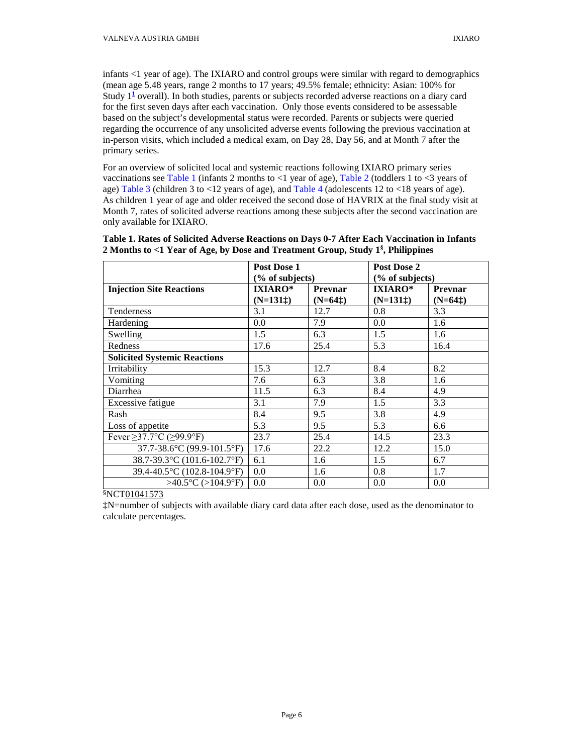infants <1 year of age). The IXIARO and control groups were similar with regard to demographics (mean age 5.48 years, range 2 months to 17 years; 49.5% female; ethnicity: Asian: 100% for Study 1**[1](#page-20-0)** overall). In both studies, parents or subjects recorded adverse reactions on a diary card for the first seven days after each vaccination. Only those events considered to be assessable based on the subject's developmental status were recorded. Parents or subjects were queried regarding the occurrence of any unsolicited adverse events following the previous vaccination at in-person visits, which included a medical exam, on Day 28, Day 56, and at Month 7 after the primary series.

For an overview of solicited local and systemic reactions following IXIARO primary series vaccinations se[e Table 1](#page-5-0) (infants 2 months to  $\langle$ 1 year of age), [Table 2](#page-6-0) (toddlers 1 to  $\langle$ 3 years of age[\) Table 3](#page-7-0) (children 3 to  $\leq$  12 years of age), and [Table 4](#page-8-0) (adolescents 12 to  $\leq$  18 years of age). As children 1 year of age and older received the second dose of HAVRIX at the final study visit at Month 7, rates of solicited adverse reactions among these subjects after the second vaccination are only available for IXIARO.

|                                      | Post Dose 1     |                | Post Dose 2     |           |
|--------------------------------------|-----------------|----------------|-----------------|-----------|
|                                      | (% of subjects) |                | (% of subjects) |           |
| <b>Injection Site Reactions</b>      | <b>IXIARO*</b>  | <b>Prevnar</b> | <b>IXIARO*</b>  | Prevnar   |
|                                      | $(N=131)$       | $(N=64t)$      | $(N=131)$       | $(N=64t)$ |
| Tenderness                           | 3.1             | 12.7           | 0.8             | 3.3       |
| Hardening                            | 0.0             | 7.9            | 0.0             | 1.6       |
| Swelling                             | 1.5             | 6.3            | 1.5             | 1.6       |
| Redness                              | 17.6            | 25.4           | 5.3             | 16.4      |
| <b>Solicited Systemic Reactions</b>  |                 |                |                 |           |
| Irritability                         | 15.3            | 12.7           | 8.4             | 8.2       |
| Vomiting                             | 7.6             | 6.3            | 3.8             | 1.6       |
| Diarrhea                             | 11.5            | 6.3            | 8.4             | 4.9       |
| Excessive fatigue                    | 3.1             | 7.9            | 1.5             | 3.3       |
| Rash                                 | 8.4             | 9.5            | 3.8             | 4.9       |
| Loss of appetite                     | 5.3             | 9.5            | 5.3             | 6.6       |
| Fever $\geq$ 37.7°C ( $\geq$ 99.9°F) | 23.7            | 25.4           | 14.5            | 23.3      |
| 37.7-38.6°C (99.9-101.5°F)           | 17.6            | 22.2           | 12.2            | 15.0      |
| 38.7-39.3°C (101.6-102.7°F)          | 6.1             | 1.6            | 1.5             | 6.7       |
| 39.4-40.5°C (102.8-104.9°F)          | 0.0             | 1.6            | 0.8             | 1.7       |
| $>40.5$ °C (>104.9°F)                | 0.0             | 0.0            | 0.0             | 0.0       |

## <span id="page-5-0"></span>**[Table 1.](#page-11-0) Rates of Solicited Adverse Reactions on Days 0-7 After Each Vaccination in Infants 2 Months to <1 Year of Age, by Dose and Treatment Group, Study 1§ , Philippines**

§NCT01041573

‡N=number of subjects with available diary card data after each dose, used as the denominator to calculate percentages.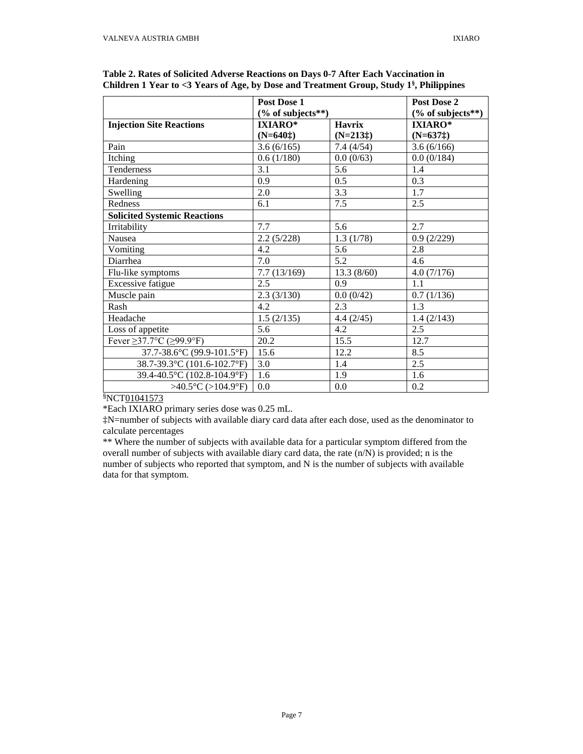|                                        | Post Dose 1          |               | Post Dose 2          |
|----------------------------------------|----------------------|---------------|----------------------|
|                                        | $(\%$ of subjects**) |               | $(\%$ of subjects**) |
| <b>Injection Site Reactions</b>        | <b>IXIARO*</b>       | <b>Havrix</b> | <b>IXIARO*</b>       |
|                                        | $(N=640+)$           | $(N=213+)$    | $(N=637\ddagger)$    |
| Pain                                   | 3.6(6/165)           | 7.4(4/54)     | 3.6(6/166)           |
| Itching                                | 0.6(1/180)           | 0.0(0/63)     | 0.0(0/184)           |
| Tenderness                             | 3.1                  | 5.6           | 1.4                  |
| Hardening                              | 0.9                  | 0.5           | 0.3                  |
| Swelling                               | 2.0                  | 3.3           | 1.7                  |
| Redness                                | 6.1                  | 7.5           | 2.5                  |
| <b>Solicited Systemic Reactions</b>    |                      |               |                      |
| Irritability                           | 7.7                  | 5.6           | 2.7                  |
| <b>Nausea</b>                          | 2.2(5/228)           | 1.3(1/78)     | 0.9(2/229)           |
| Vomiting                               | 4.2                  | 5.6           | 2.8                  |
| Diarrhea                               | 7.0                  | 5.2           | 4.6                  |
| Flu-like symptoms                      | 7.7(13/169)          | 13.3(8/60)    | 4.0(7/176)           |
| Excessive fatigue                      | 2.5                  | 0.9           | 1.1                  |
| Muscle pain                            | 2.3(3/130)           | 0.0(0/42)     | 0.7(1/136)           |
| Rash                                   | 4.2                  | 2.3           | 1.3                  |
| Headache                               | 1.5(2/135)           | 4.4(2/45)     | 1.4(2/143)           |
| Loss of appetite                       | 5.6                  | 4.2           | 2.5                  |
| Fever $\geq$ 37.7°C ( $\geq$ 99.9°F)   | 20.2                 | 15.5          | 12.7                 |
| 37.7-38.6°C (99.9-101.5°F)             | 15.6                 | 12.2          | 8.5                  |
| 38.7-39.3°C (101.6-102.7°F)            | 3.0                  | 1.4           | 2.5                  |
| 39.4-40.5°C (102.8-104.9°F)            | 1.6                  | 1.9           | 1.6                  |
| $>40.5^{\circ}C$ ( $>104.9^{\circ}F$ ) | 0.0                  | 0.0           | 0.2                  |

<span id="page-6-0"></span>**Table 2. Rates of Solicited Adverse Reactions on Days 0-7 After Each Vaccination in Children 1 Year to <3 Years of Age, by Dose and Treatment Group, Study 1§ , Philippines**

\*Each IXIARO primary series dose was 0.25 mL.

‡N=number of subjects with available diary card data after each dose, used as the denominator to calculate percentages

\*\* Where the number of subjects with available data for a particular symptom differed from the overall number of subjects with available diary card data, the rate (n/N) is provided; n is the number of subjects who reported that symptom, and N is the number of subjects with available data for that symptom.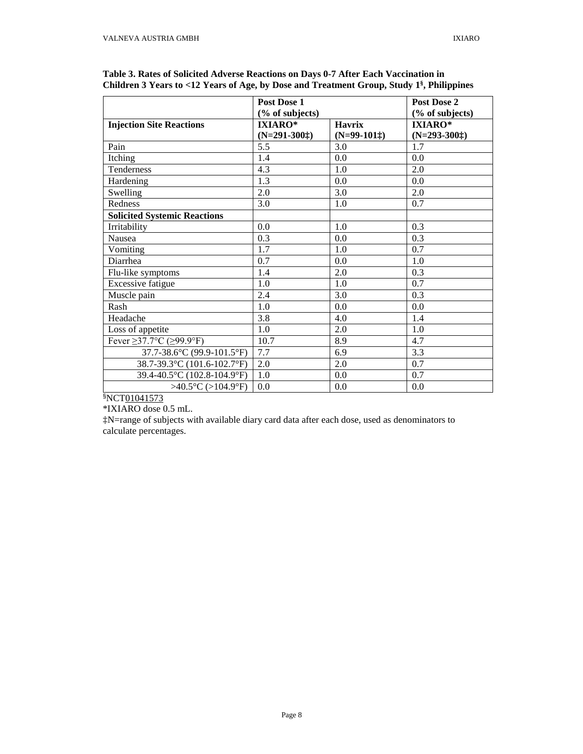|                                        | Post Dose 1     | Post Dose 2   |                 |
|----------------------------------------|-----------------|---------------|-----------------|
|                                        | (% of subjects) |               | (% of subjects) |
| <b>Injection Site Reactions</b>        | <b>IXIARO*</b>  | <b>Havrix</b> | <b>IXIARO*</b>  |
|                                        | $(N=291-300)$   | $(N=99-101)$  | $(N=293-300)$   |
| Pain                                   | 5.5             | 3.0           | 1.7             |
| Itching                                | 1.4             | 0.0           | 0.0             |
| Tenderness                             | 4.3             | 1.0           | 2.0             |
| Hardening                              | 1.3             | 0.0           | 0.0             |
| Swelling                               | 2.0             | 3.0           | 2.0             |
| Redness                                | 3.0             | 1.0           | 0.7             |
| <b>Solicited Systemic Reactions</b>    |                 |               |                 |
| Irritability                           | 0.0             | 1.0           | 0.3             |
| Nausea                                 | 0.3             | 0.0           | 0.3             |
| Vomiting                               | 1.7             | 1.0           | 0.7             |
| Diarrhea                               | 0.7             | 0.0           | 1.0             |
| Flu-like symptoms                      | 1.4             | 2.0           | 0.3             |
| Excessive fatigue                      | 1.0             | 1.0           | 0.7             |
| Muscle pain                            | 2.4             | 3.0           | 0.3             |
| Rash                                   | 1.0             | 0.0           | 0.0             |
| Headache                               | 3.8             | 4.0           | 1.4             |
| Loss of appetite                       | 1.0             | 2.0           | 1.0             |
| Fever $\geq$ 37.7°C ( $\geq$ 99.9°F)   | 10.7            | 8.9           | 4.7             |
| 37.7-38.6°C (99.9-101.5°F)             | 7.7             | 6.9           | 3.3             |
| 38.7-39.3°C (101.6-102.7°F)            | 2.0             | 2.0           | 0.7             |
| 39.4-40.5°C (102.8-104.9°F)            | 1.0             | 0.0           | 0.7             |
| $>40.5^{\circ}C$ ( $>104.9^{\circ}F$ ) | 0.0             | 0.0           | 0.0             |

<span id="page-7-0"></span>

| Table 3. Rates of Solicited Adverse Reactions on Days 0-7 After Each Vaccination in                   |  |
|-------------------------------------------------------------------------------------------------------|--|
| Children 3 Years to <12 Years of Age, by Dose and Treatment Group, Study 1 <sup>§</sup> , Philippines |  |

\*IXIARO dose 0.5 mL.

‡N=range of subjects with available diary card data after each dose, used as denominators to calculate percentages.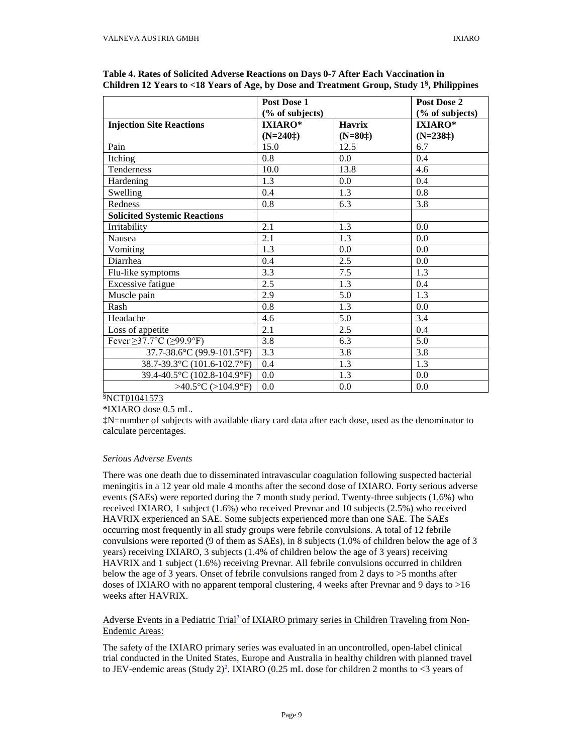|                                        | Post Dose 1      |               | Post Dose 2     |
|----------------------------------------|------------------|---------------|-----------------|
|                                        | (% of subjects)  |               | (% of subjects) |
| <b>Injection Site Reactions</b>        | <b>IXIARO*</b>   | <b>Havrix</b> | IXIARO*         |
|                                        | $(N=240)$        | $(N=80)$      | $(N=238+)$      |
| Pain                                   | 15.0             | 12.5          | 6.7             |
| Itching                                | 0.8              | 0.0           | 0.4             |
| Tenderness                             | 10.0             | 13.8          | 4.6             |
| Hardening                              | 1.3              | 0.0           | 0.4             |
| Swelling                               | 0.4              | 1.3           | 0.8             |
| Redness                                | 0.8              | 6.3           | 3.8             |
| <b>Solicited Systemic Reactions</b>    |                  |               |                 |
| Irritability                           | 2.1              | 1.3           | 0.0             |
| Nausea                                 | $\overline{2.1}$ | 1.3           | 0.0             |
| Vomiting                               | 1.3              | 0.0           | 0.0             |
| Diarrhea                               | 0.4              | 2.5           | 0.0             |
| Flu-like symptoms                      | 3.3              | 7.5           | 1.3             |
| Excessive fatigue                      | 2.5              | 1.3           | 0.4             |
| Muscle pain                            | 2.9              | 5.0           | 1.3             |
| Rash                                   | 0.8              | 1.3           | 0.0             |
| Headache                               | 4.6              | 5.0           | 3.4             |
| Loss of appetite                       | 2.1              | 2.5           | 0.4             |
| Fever $\geq$ 37.7°C ( $\geq$ 99.9°F)   | $\overline{3.8}$ | 6.3           | 5.0             |
| 37.7-38.6°C (99.9-101.5°F)             | 3.3              | 3.8           | 3.8             |
| 38.7-39.3°C (101.6-102.7°F)            | 0.4              | 1.3           | 1.3             |
| 39.4-40.5°C (102.8-104.9°F)            | 0.0              | 1.3           | 0.0             |
| $>40.5^{\circ}C$ ( $>104.9^{\circ}F$ ) | 0.0              | 0.0           | 0.0             |

<span id="page-8-0"></span>

| Table 4. Rates of Solicited Adverse Reactions on Days 0-7 After Each Vaccination in          |  |
|----------------------------------------------------------------------------------------------|--|
| Children 12 Years to <18 Years of Age, by Dose and Treatment Group, Study $1§$ , Philippines |  |

\*IXIARO dose 0.5 mL.

‡N=number of subjects with available diary card data after each dose, used as the denominator to calculate percentages.

### *Serious Adverse Events*

There was one death due to disseminated intravascular coagulation following suspected bacterial meningitis in a 12 year old male 4 months after the second dose of IXIARO. Forty serious adverse events (SAEs) were reported during the 7 month study period. Twenty-three subjects (1.6%) who received IXIARO, 1 subject (1.6%) who received Prevnar and 10 subjects (2.5%) who received HAVRIX experienced an SAE. Some subjects experienced more than one SAE. The SAEs occurring most frequently in all study groups were febrile convulsions. A total of 12 febrile convulsions were reported (9 of them as SAEs), in 8 subjects (1.0% of children below the age of 3 years) receiving IXIARO, 3 subjects (1.4% of children below the age of 3 years) receiving HAVRIX and 1 subject (1.6%) receiving Prevnar. All febrile convulsions occurred in children below the age of 3 years. Onset of febrile convulsions ranged from 2 days to >5 months after doses of IXIARO with no apparent temporal clustering, 4 weeks after Prevnar and 9 days to >16 weeks after HAVRIX.

Adverse Events in a Pediatric Trial<sup>2</sup> of IXIARO primary series in Children Traveling from Non-Endemic Areas:

The safety of the IXIARO primary series was evaluated in an uncontrolled, open-label clinical trial conducted in the United States, Europe and Australia in healthy children with planned travel to JEV-endemic areas (Study 2[\)](#page-20-0)<sup>2</sup>. IXIARO (0.25 mL dose for children 2 months to <3 years of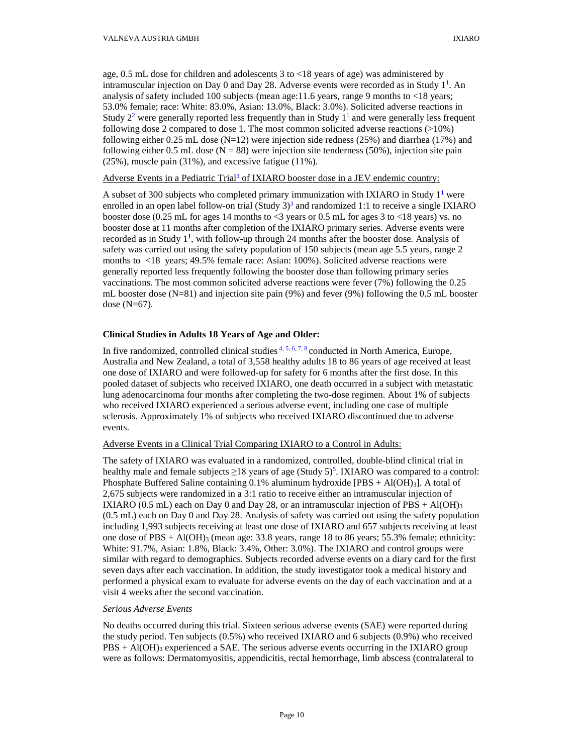age, 0.5 mL dose for children and adolescents 3 to <18 years of age) was administered by intramuscular injection on Day 0 and Day 28. Adverse events were recorded as in Study  $1^1$ . An analysis of safety included 100 subjects (mean age:11.6 years, range 9 months to <18 years; 53.0% female; race: White: 83.0%, Asian: 13.0%, Black: 3.0%). Solicited adverse reactions in Study  $2<sup>2</sup>$  were generally reported less frequently than in Study  $1<sup>1</sup>$  and were generally less frequent following dose 2 compared to dose 1. The most common solicited adverse reactions  $(>10\%)$ following either 0.25 mL dose  $(N=12)$  were injection side redness (25%) and diarrhea (17%) and following either 0.5 mL dose ( $N = 88$ ) were injection site tenderness (50%), injection site pain (25%), muscle pain (31%), and excessive fatigue (11%).

## Adverse Events in a Pediatric Trial<sup>3</sup> of IXIARO booster dose in a JEV endemic country:

A subset of 300 subjects who completed primary immunization with IXIARO in Study 1**[1](#page-20-0)** were enrolled in an open label follow-on trial (Study  $3<sup>3</sup>$  and randomized 1:1 to receive a single IXIARO booster dose (0.25 mL for ages 14 months to <3 years or 0.5 mL for ages 3 to <18 years) vs. no booster dose at 11 months after completion of the IXIARO primary series. Adverse events were recorded as in Study 1**<sup>1</sup>** [,](#page-20-0) with follow-up through 24 months after the booster dose. Analysis of safety was carried out using the safety population of 150 subjects (mean age 5.5 years, range 2 months to <18 years; 49.5% female race: Asian: 100%). Solicited adverse reactions were generally reported less frequently following the booster dose than following primary series vaccinations. The most common solicited adverse reactions were fever (7%) following the 0.25 mL booster dose (N=81) and injection site pain (9%) and fever (9%) following the 0.5 mL booster dose (N=67).

## **Clinical Studies in Adults 18 Years of Age and Older:**

In five randomized, controlled clinical studies  $4, 5, 6, 7, 8$  conducted in North America, Europe, Australia and New Zealand, a total of 3,558 healthy adults 18 to 86 years of age received at least one dose of IXIARO and were followed-up for safety for 6 months after the first dose. In this pooled dataset of subjects who received IXIARO, one death occurred in a subject with metastatic lung adenocarcinoma four months after completing the two-dose regimen. About 1% of subjects who received IXIARO experienced a serious adverse event, including one case of multiple sclerosis. Approximately 1% of subjects who received IXIARO discontinued due to adverse events.

### Adverse Events in a Clinical Trial Comparing IXIARO to a Control in Adults:

The safety of IXIARO was evaluated in a randomized, controlled, double-blind clinical trial in healthy male and female subjects  $\geq$ 18 years of age (Study 5[\)](#page-20-0)<sup>5</sup>. IXIARO was compared to a control: Phosphate Buffered Saline containing  $0.1\%$  aluminum hydroxide [PBS + Al(OH)<sub>3</sub>]. A total of 2,675 subjects were randomized in a 3:1 ratio to receive either an intramuscular injection of IXIARO (0.5 mL) each on Day 0 and Day 28, or an intramuscular injection of PBS + Al(OH)<sub>3</sub> (0.5 mL) each on Day 0 and Day 28. Analysis of safety was carried out using the safety population including 1,993 subjects receiving at least one dose of IXIARO and 657 subjects receiving at least one dose of  $PBS + Al(OH)_{3}$  (mean age: 33.8 years, range 18 to 86 years; 55.3% female; ethnicity: White: 91.7%, Asian: 1.8%, Black: 3.4%, Other: 3.0%). The IXIARO and control groups were similar with regard to demographics. Subjects recorded adverse events on a diary card for the first seven days after each vaccination. In addition, the study investigator took a medical history and performed a physical exam to evaluate for adverse events on the day of each vaccination and at a visit 4 weeks after the second vaccination.

### *Serious Adverse Events*

No deaths occurred during this trial. Sixteen serious adverse events (SAE) were reported during the study period. Ten subjects (0.5%) who received IXIARO and 6 subjects (0.9%) who received  $PBS + Al(OH)3$  experienced a SAE. The serious adverse events occurring in the IXIARO group were as follows: Dermatomyositis, appendicitis, rectal hemorrhage, limb abscess (contralateral to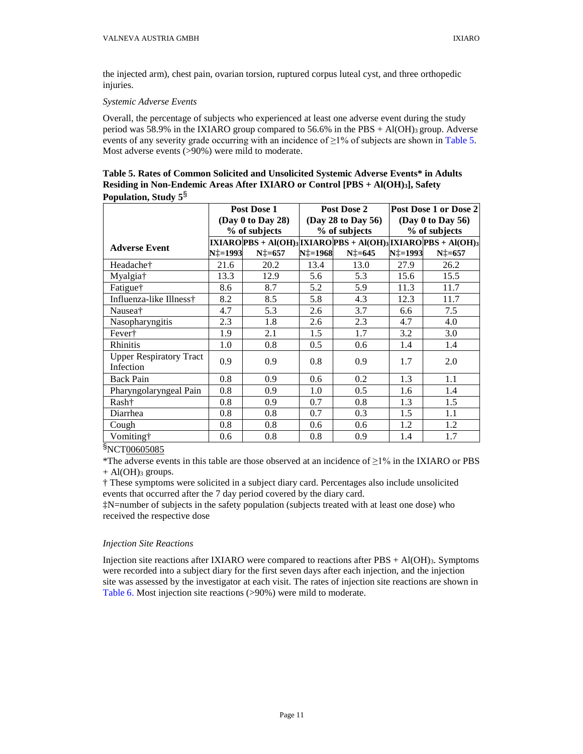the injected arm), chest pain, ovarian torsion, ruptured corpus luteal cyst, and three orthopedic injuries.

### *Systemic Adverse Events*

Overall, the percentage of subjects who experienced at least one adverse event during the study period was 58.9% in the IXIARO group compared to  $56.6\%$  in the PBS + Al(OH)<sub>3</sub> group. Adverse events of any severity grade occurring with an incidence of  $\geq$ 1% of subjects are shown in [Table 5.](#page-10-0) Most adverse events (>90%) were mild to moderate.

<span id="page-10-0"></span>**Table 5. Rates of Common Solicited and Unsolicited Systemic Adverse Events\* in Adults Residing in Non-Endemic Areas After IXIARO or Control [PBS + Al(OH)3], Safety Population, Study 5**§

|                                | Post Dose 1 |                   | Post Dose 2 |                    | Post Dose 1 or Dose 2  |                                                                  |  |
|--------------------------------|-------------|-------------------|-------------|--------------------|------------------------|------------------------------------------------------------------|--|
|                                |             | (Day 0 to Day 28) |             | (Day 28 to Day 56) | (Day $0$ to Day $56$ ) |                                                                  |  |
|                                |             | % of subjects     |             | % of subjects      |                        | % of subjects                                                    |  |
| <b>Adverse Event</b>           |             |                   |             |                    |                        | $IXIARO PBS + Al(OH)3 IXIARO PBS + Al(OH)3 IXIARO PBS + Al(OH)3$ |  |
|                                | N‡=1993     | $N_{\perp} = 657$ | N‡=1968     | $N\ddagger = 645$  | N‡=1993                | $N_{+}$ =657                                                     |  |
| Headache†                      | 21.6        | 20.2              | 13.4        | 13.0               | 27.9                   | 26.2                                                             |  |
| Myalgia <sup>†</sup>           | 13.3        | 12.9              | 5.6         | 5.3                | 15.6                   | 15.5                                                             |  |
| Fatigue†                       | 8.6         | 8.7               | 5.2         | 5.9                | 11.3                   | 11.7                                                             |  |
| Influenza-like Illness†        | 8.2         | 8.5               | 5.8         | 4.3                | 12.3                   | 11.7                                                             |  |
| Nausea <sup>†</sup>            | 4.7         | 5.3               | 2.6         | 3.7                | 6.6                    | 7.5                                                              |  |
| Nasopharyngitis                | 2.3         | 1.8               | 2.6         | 2.3                | 4.7                    | 4.0                                                              |  |
| Fever†                         | 1.9         | 2.1               | 1.5         | 1.7                | 3.2                    | 3.0                                                              |  |
| Rhinitis                       | 1.0         | 0.8               | 0.5         | 0.6                | 1.4                    | 1.4                                                              |  |
| <b>Upper Respiratory Tract</b> | 0.9         | 0.9               | 0.8         | 0.9                | 1.7                    | 2.0                                                              |  |
| Infection                      |             |                   |             |                    |                        |                                                                  |  |
| <b>Back Pain</b>               | 0.8         | 0.9               | 0.6         | 0.2                | 1.3                    | 1.1                                                              |  |
| Pharyngolaryngeal Pain         | 0.8         | 0.9               | 1.0         | 0.5                | 1.6                    | 1.4                                                              |  |
| Rash†                          | 0.8         | 0.9               | 0.7         | 0.8                | 1.3                    | 1.5                                                              |  |
| Diarrhea                       | 0.8         | 0.8               | 0.7         | 0.3                | 1.5                    | 1.1                                                              |  |
| Cough                          | 0.8         | 0.8               | 0.6         | $0.6^{\circ}$      | 1.2                    | 1.2                                                              |  |
| Vomiting†                      | 0.6         | 0.8               | 0.8         | 0.9                | 1.4                    | 1.7                                                              |  |

§NCT00605085

\*The adverse events in this table are those observed at an incidence of ≥1% in the IXIARO or PBS  $+$  Al(OH)<sub>3</sub> groups.

† These symptoms were solicited in a subject diary card. Percentages also include unsolicited events that occurred after the 7 day period covered by the diary card.

‡N=number of subjects in the safety population (subjects treated with at least one dose) who received the respective dose

## *Injection Site Reactions*

Injection site reactions after IXIARO were compared to reactions after  $PBS + Al(OH)_{3}$ . Symptoms were recorded into a subject diary for the first seven days after each injection, and the injection site was assessed by the investigator at each visit. The rates of injection site reactions are shown in [Table 6.](#page-11-0) Most injection site reactions (>90%) were mild to moderate.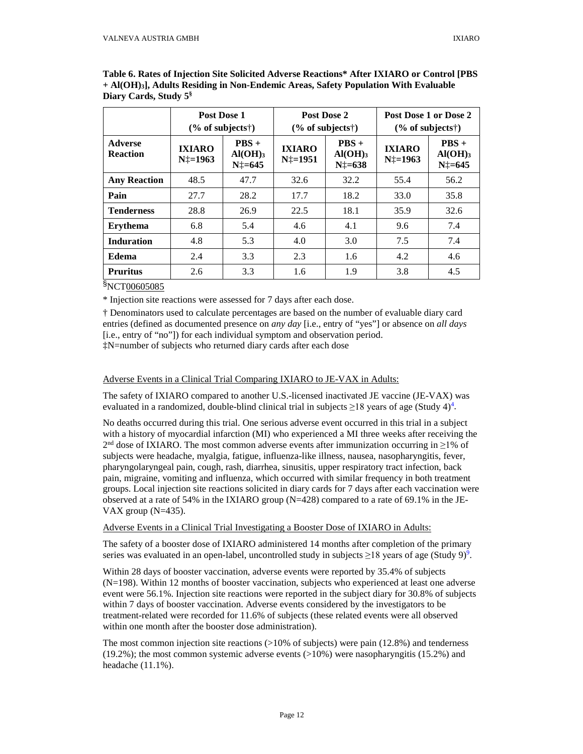|                                   | Post Dose 1<br>$(\%$ of subjects <sup>†</sup> ) |                                                       |                                | Post Dose 2<br>$(\%$ of subjects <sup>†</sup> ) |                                   | Post Dose 1 or Dose 2<br>$(\%$ of subjects†)     |
|-----------------------------------|-------------------------------------------------|-------------------------------------------------------|--------------------------------|-------------------------------------------------|-----------------------------------|--------------------------------------------------|
| <b>Adverse</b><br><b>Reaction</b> | <b>IXIARO</b><br>$N_{1}^{\dagger}=1963$         | $PBS +$<br>$AI(OH)$ <sub>3</sub><br>$N\ddagger = 645$ | <b>IXIARO</b><br>$N_{+}$ =1951 | $PBS +$<br>$AI(OH)_{3}$<br>$N\ddagger = 638$    | <b>IXIARO</b><br>$N_{+}^+ = 1963$ | $PBS +$<br>$AI(OH)$ <sub>3</sub><br>$N_{+}$ =645 |
| <b>Any Reaction</b>               | 48.5                                            | 47.7                                                  | 32.6                           | 32.2                                            | 55.4                              | 56.2                                             |
| Pain                              | 27.7                                            | 28.2                                                  | 17.7                           | 18.2                                            | 33.0                              | 35.8                                             |
| <b>Tenderness</b>                 | 28.8                                            | 26.9                                                  | 22.5                           | 18.1                                            | 35.9                              | 32.6                                             |
| <b>Erythema</b>                   | 6.8                                             | 5.4                                                   | 4.6                            | 4.1                                             | 9.6                               | 7.4                                              |
| <b>Induration</b>                 | 4.8                                             | 5.3                                                   | 4.0                            | 3.0                                             | 7.5                               | 7.4                                              |
| <b>Edema</b>                      | 2.4                                             | 3.3                                                   | 2.3                            | 1.6                                             | 4.2                               | 4.6                                              |
| <b>Pruritus</b>                   | 2.6                                             | 3.3                                                   | 1.6                            | 1.9                                             | 3.8                               | 4.5                                              |

<span id="page-11-0"></span>**Table 6. Rates of Injection Site Solicited Adverse Reactions\* After IXIARO or Control [PBS + Al(OH)3], Adults Residing in Non-Endemic Areas, Safety Population With Evaluable Diary Cards, Study 5§**

\* Injection site reactions were assessed for 7 days after each dose.

† Denominators used to calculate percentages are based on the number of evaluable diary card entries (defined as documented presence on *any day* [i.e., entry of "yes"] or absence on *all days* [i.e., entry of "no"]) for each individual symptom and observation period.

‡N=number of subjects who returned diary cards after each dose

### Adverse Events in a Clinical Trial Comparing IXIARO to JE-VAX in Adults:

The safety of IXIARO compared to another U.S.-licensed inactivated JE vaccine (JE-VAX) was evaluated in a randomized, double-blind clinical trial in subjects  $\geq$ 18 years of age (Study 4[\)](#page-20-0)<sup>4</sup>.

No deaths occurred during this trial. One serious adverse event occurred in this trial in a subject with a history of myocardial infarction (MI) who experienced a MI three weeks after receiving the  $2<sup>nd</sup>$  dose of IXIARO. The most common adverse events after immunization occurring in  $\geq$ 1% of subjects were headache, myalgia, fatigue, influenza-like illness, nausea, nasopharyngitis, fever, pharyngolaryngeal pain, cough, rash, diarrhea, sinusitis, upper respiratory tract infection, back pain, migraine, vomiting and influenza, which occurred with similar frequency in both treatment groups. Local injection site reactions solicited in diary cards for 7 days after each vaccination were observed at a rate of 54% in the IXIARO group  $(N=428)$  compared to a rate of 69.1% in the JE-VAX group  $(N=435)$ .

Adverse Events in a Clinical Trial Investigating a Booster Dose of IXIARO in Adults:

The safety of a booster dose of IXIARO administered 14 months after completion of the primary series was evaluated in an open-label, uncontrolled study in subjects  $\geq$ 18 years of age (Study 9)<sup>9</sup>[.](#page-20-0)

Within 28 days of booster vaccination, adverse events were reported by 35.4% of subjects (N=198). Within 12 months of booster vaccination, subjects who experienced at least one adverse event were 56.1%. Injection site reactions were reported in the subject diary for 30.8% of subjects within 7 days of booster vaccination. Adverse events considered by the investigators to be treatment-related were recorded for 11.6% of subjects (these related events were all observed within one month after the booster dose administration).

The most common injection site reactions (>10% of subjects) were pain (12.8%) and tenderness  $(19.2\%)$ ; the most common systemic adverse events  $(>10\%)$  were nasopharyngitis (15.2%) and headache (11.1%).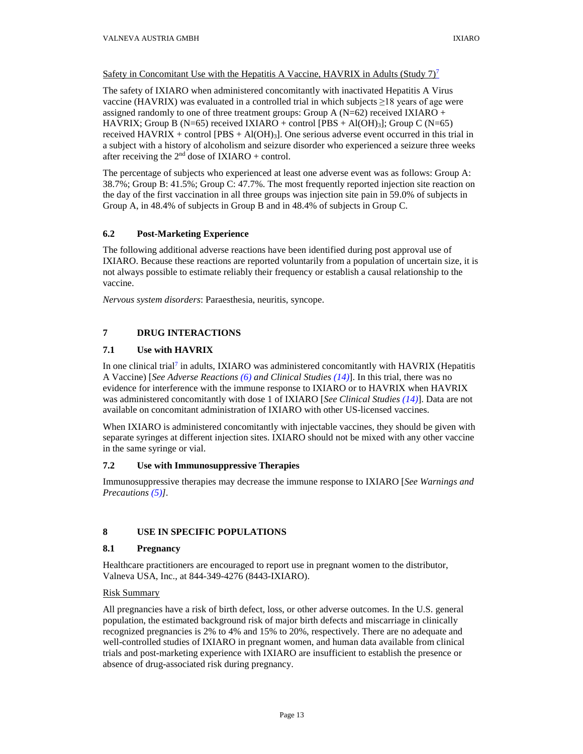## Safety in Concomitant Use with the Hepatitis A Vaccine, HAVRIX in Adults (Study [7](#page-20-0))<sup>7</sup>

The safety of IXIARO when administered concomitantly with inactivated Hepatitis A Virus vaccine (HAVRIX) was evaluated in a controlled trial in which subjects  $\geq$ 18 years of age were assigned randomly to one of three treatment groups: Group A ( $N=62$ ) received IXIARO + HAVRIX; Group B (N=65) received IXIARO + control  $[PBS + Al(OH)<sub>3</sub>];$  Group C (N=65) received HAVRIX + control  $[PBS + Al(OH)<sub>3</sub>]$ . One serious adverse event occurred in this trial in a subject with a history of alcoholism and seizure disorder who experienced a seizure three weeks after receiving the  $2<sup>nd</sup>$  dose of IXIARO + control.

The percentage of subjects who experienced at least one adverse event was as follows: Group A: 38.7%; Group B: 41.5%; Group C: 47.7%. The most frequently reported injection site reaction on the day of the first vaccination in all three groups was injection site pain in 59.0% of subjects in Group A, in 48.4% of subjects in Group B and in 48.4% of subjects in Group C.

## <span id="page-12-0"></span>**6.2 Post-Marketing Experience**

The following additional adverse reactions have been identified during post approval use of IXIARO. Because these reactions are reported voluntarily from a population of uncertain size, it is not always possible to estimate reliably their frequency or establish a causal relationship to the vaccine.

*Nervous system disorders*: Paraesthesia, neuritis, syncope.

# <span id="page-12-1"></span>**7 DRUG INTERACTIONS**

## <span id="page-12-2"></span>**7.1 Use with HAVRIX**

In one clinical trial<sup>7</sup> in adults, IXIARO was administered concomitantly with HAVRIX (Hepatitis A Vaccine) [*See Adverse Reactions [\(6\)](#page-4-8) and Clinical Studies [\(14\)](#page-14-5)*]. In this trial, there was no evidence for interference with the immune response to IXIARO or to HAVRIX when HAVRIX was administered concomitantly with dose 1 of IXIARO [*See Clinical Studies [\(14\)](#page-14-5)*]. Data are not available on concomitant administration of IXIARO with other US-licensed vaccines.

When IXIARO is administered concomitantly with injectable vaccines, they should be given with separate syringes at different injection sites. IXIARO should not be mixed with any other vaccine in the same syringe or vial.

## <span id="page-12-3"></span>**7.2 Use with Immunosuppressive Therapies**

Immunosuppressive therapies may decrease the immune response to IXIARO [*See Warnings and Precautions [\(5\)](#page-4-3)].*

## <span id="page-12-4"></span>**8 USE IN SPECIFIC POPULATIONS**

## <span id="page-12-5"></span>**8.1 Pregnancy**

Healthcare practitioners are encouraged to report use in pregnant women to the distributor, Valneva USA, Inc., at 844-349-4276 (8443-IXIARO).

## Risk Summary

All pregnancies have a risk of birth defect, loss, or other adverse outcomes. In the U.S. general population, the estimated background risk of major birth defects and miscarriage in clinically recognized pregnancies is 2% to 4% and 15% to 20%, respectively. There are no adequate and well-controlled studies of IXIARO in pregnant women, and human data available from clinical trials and post-marketing experience with IXIARO are insufficient to establish the presence or absence of drug-associated risk during pregnancy.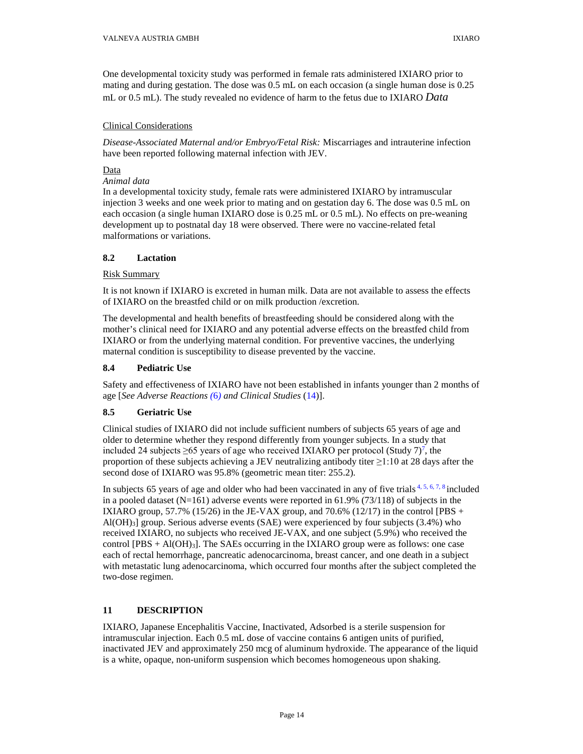One developmental toxicity study was performed in female rats administered IXIARO prior to mating and during gestation. The dose was 0.5 mL on each occasion (a single human dose is 0.25 mL or 0.5 mL). The study revealed no evidence of harm to the fetus due to IXIARO *[Data](#page-13-4)*

## Clinical Considerations

*Disease-Associated Maternal and/or Embryo/Fetal Risk:* Miscarriages and intrauterine infection have been reported following maternal infection with JEV.

## <span id="page-13-4"></span>Data

## *Animal data*

In a developmental toxicity study, female rats were administered IXIARO by intramuscular injection 3 weeks and one week prior to mating and on gestation day 6. The dose was 0.5 mL on each occasion (a single human IXIARO dose is 0.25 mL or 0.5 mL). No effects on pre-weaning development up to postnatal day 18 were observed. There were no vaccine-related fetal malformations or variations.

## <span id="page-13-0"></span>**8.2 Lactation**

### Risk Summary

It is not known if IXIARO is excreted in human milk. Data are not available to assess the effects of IXIARO on the breastfed child or on milk production /excretion.

The developmental and health benefits of breastfeeding should be considered along with the mother's clinical need for IXIARO and any potential adverse effects on the breastfed child from IXIARO or from the underlying maternal condition. For preventive vaccines, the underlying maternal condition is susceptibility to disease prevented by the vaccine.

## <span id="page-13-1"></span>**8.4 Pediatric Use**

Safety and effectiveness of IXIARO have not been established in infants younger than 2 months of age [*See Adverse Reaction[s \(](#page-4-8)*6*) and Clinical Studies* [\(14\)](#page-14-5)].

## <span id="page-13-2"></span>**8.5 Geriatric Use**

Clinical studies of IXIARO did not include sufficient numbers of subjects 65 years of age and older to determine whether they respond differently from younger subjects. In a study that included 24 subjects  $\geq 65$  years of age who received IXIARO per protocol (Study 7)<sup>7</sup>[,](#page-20-0) the proportion of these subjects achieving a JEV neutralizing antibody titer  $\geq$ 1:10 at 28 days after the second dose of IXIARO was 95.8% (geometric mean titer: 255.2).

In subjects 65 years of age and older who had been vaccinated in any of five trials  $4, 5, 6, 7, 8$  included in a pooled dataset  $(N=161)$  adverse events were reported in 61.9% (73/118) of subjects in the IXIARO group, 57.7% (15/26) in the JE-VAX group, and 70.6% (12/17) in the control [PBS +  $Al(OH)<sub>3</sub>$ ] group. Serious adverse events (SAE) were experienced by four subjects (3.4%) who received IXIARO, no subjects who received JE-VAX, and one subject (5.9%) who received the control  $[PBS + Al(OH)<sub>3</sub>]$ . The SAEs occurring in the IXIARO group were as follows: one case each of rectal hemorrhage, pancreatic adenocarcinoma, breast cancer, and one death in a subject with metastatic lung adenocarcinoma, which occurred four months after the subject completed the two-dose regimen.

## <span id="page-13-3"></span>**11 DESCRIPTION**

IXIARO, Japanese Encephalitis Vaccine, Inactivated, Adsorbed is a sterile suspension for intramuscular injection. Each 0.5 mL dose of vaccine contains 6 antigen units of purified, inactivated JEV and approximately 250 mcg of aluminum hydroxide. The appearance of the liquid is a white, opaque, non-uniform suspension which becomes homogeneous upon shaking.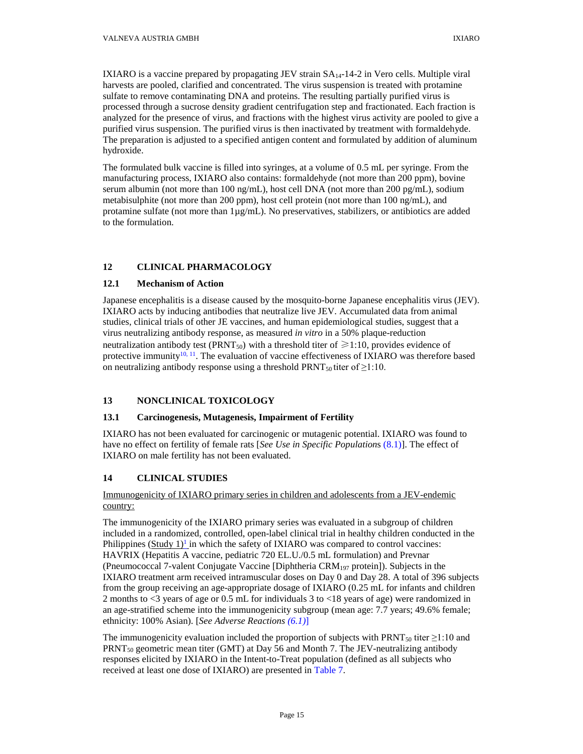IXIARO is a vaccine prepared by propagating JEV strain SA14-14-2 in Vero cells. Multiple viral harvests are pooled, clarified and concentrated. The virus suspension is treated with protamine sulfate to remove contaminating DNA and proteins. The resulting partially purified virus is processed through a sucrose density gradient centrifugation step and fractionated. Each fraction is analyzed for the presence of virus, and fractions with the highest virus activity are pooled to give a purified virus suspension. The purified virus is then inactivated by treatment with formaldehyde. The preparation is adjusted to a specified antigen content and formulated by addition of aluminum hydroxide.

The formulated bulk vaccine is filled into syringes, at a volume of 0.5 mL per syringe. From the manufacturing process, IXIARO also contains: formaldehyde (not more than 200 ppm), bovine serum albumin (not more than 100 ng/mL), host cell DNA (not more than 200 pg/mL), sodium metabisulphite (not more than 200 ppm), host cell protein (not more than 100 ng/mL), and protamine sulfate (not more than  $1\mu g/mL$ ). No preservatives, stabilizers, or antibiotics are added to the formulation.

# <span id="page-14-1"></span>**12 CLINICAL PHARMACOLOGY**

## <span id="page-14-2"></span>**12.1 Mechanism of Action**

Japanese encephalitis is a disease caused by the mosquito-borne Japanese encephalitis virus (JEV). IXIARO acts by inducing antibodies that neutralize live JEV. Accumulated data from animal studies, clinical trials of other JE vaccines, and human epidemiological studies, suggest that a virus neutralizing antibody response, as measured *in vitro* in a 50% plaque-reduction neutralization antibody test (PRNT<sub>50</sub>) with a threshold titer of  $\geq 1:10$ , provides evidence of protective immunity<sup>10, 11</sup>. The evaluation of vaccine effectiveness of IXIARO was therefore based on neutralizing antibody response using a threshold PRNT<sub>50</sub> titer of  $\geq$ 1:10.

## <span id="page-14-3"></span>**13 NONCLINICAL TOXICOLOGY**

## <span id="page-14-4"></span>**13.1 Carcinogenesis, Mutagenesis, Impairment of Fertility**

IXIARO has not been evaluated for carcinogenic or mutagenic potential. IXIARO was found to have no effect on fertility of female rats [*See Use in Specific Population*[s \(8.1\)\]](#page-12-5). The effect of IXIARO on male fertility has not been evaluated.

## <span id="page-14-5"></span>**14 CLINICAL STUDIES**

## Immunogenicity of IXIARO primary series in children and adolescents from a JEV-endemic country:

<span id="page-14-0"></span>The immunogenicity of the IXIARO primary series was evaluated in a subgroup of children included in a randomized, controlled, open-label clinical trial in healthy children conducted in the Philippines  $(Study 1)<sup>1</sup>$  $(Study 1)<sup>1</sup>$  $(Study 1)<sup>1</sup>$  in which the safety of IXIARO was compared to control vaccines: HAVRIX (Hepatitis A vaccine, pediatric 720 EL.U./0.5 mL formulation) and Prevnar (Pneumococcal 7-valent Conjugate Vaccine [Diphtheria CRM197 protein]). Subjects in the IXIARO treatment arm received intramuscular doses on Day 0 and Day 28. A total of 396 subjects from the group receiving an age-appropriate dosage of IXIARO (0.25 mL for infants and children 2 months to <3 years of age or 0.5 mL for individuals 3 to <18 years of age) were randomized in an age-stratified scheme into the immunogenicity subgroup (mean age: 7.7 years; 49.6% female; ethnicity: 100% Asian). [*[See Adverse Reactions](#page-4-9) (6.1)*]

The immunogenicity evaluation included the proportion of subjects with PRNT<sub>50</sub> titer  $\geq$ 1:10 and  $PRT_{50}$  geometric mean titer (GMT) at Day 56 and Month 7. The JEV-neutralizing antibody responses elicited by IXIARO in the Intent-to-Treat population (defined as all subjects who received at least one dose of IXIARO) are presented in [Table 7.](#page-15-0)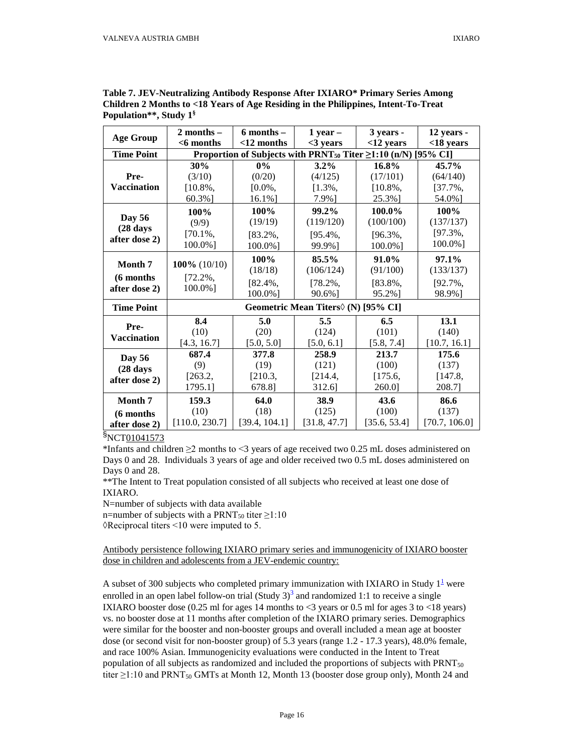| <b>Age Group</b>    | $2$ months $-$                                                                  | $6$ months $-$ | $1$ year $-$                                  | 3 years -    | 12 years -    |  |
|---------------------|---------------------------------------------------------------------------------|----------------|-----------------------------------------------|--------------|---------------|--|
|                     | $<$ 6 months                                                                    | $<$ 12 months  | $<$ 3 vears                                   | $<$ 12 years | $<$ 18 years  |  |
| <b>Time Point</b>   | Proportion of Subjects with PRNT <sub>50</sub> Titer $\geq$ 1:10 (n/N) [95% CI] |                |                                               |              |               |  |
|                     | 30%                                                                             | $0\%$          | $3.2\%$                                       | 16.8%        | $45.7\%$      |  |
| Pre-                | (3/10)                                                                          | (0/20)         | (4/125)                                       | (17/101)     | (64/140)      |  |
| <b>Vaccination</b>  | $[10.8\%,$                                                                      | $[0.0\%,$      | $[1.3\%]$                                     | $[10.8\%,$   | $[37.7\%,$    |  |
|                     | 60.3%]                                                                          | 16.1%]         | 7.9%]                                         | 25.3%]       | 54.0%]        |  |
|                     | 100%                                                                            | 100%           | 99.2%                                         | 100.0%       | 100%          |  |
| <b>Day 56</b>       | (9/9)                                                                           | (19/19)        | (119/120)                                     | (100/100)    | (137/137)     |  |
| $(28 \text{ days})$ | $[70.1\%,$                                                                      | $[83.2\%,$     | $[95.4\%,$                                    | $[96.3\%$ ,  | $[97.3\%]$    |  |
| after dose 2)       | 100.0%]                                                                         | 100.0%]        | 99.9%]                                        | 100.0%]      | 100.0%]       |  |
|                     |                                                                                 | 100%           | 85.5%                                         | 91.0%        | 97.1%         |  |
| Month 7             | 100% $(10/10)$                                                                  | (18/18)        | (106/124)                                     | (91/100)     | (133/137)     |  |
| (6 months           | $[72.2\%,$                                                                      | $[82.4\%,$     | $[78.2\%]$                                    | $[83.8\%]$   | $[92.7\%]$    |  |
| after dose 2)       | 100.0%]                                                                         | 100.0%]        | 90.6%]                                        | 95.2%]       | 98.9%]        |  |
| <b>Time Point</b>   |                                                                                 |                | Geometric Mean Titers $\Diamond$ (N) [95% CI] |              |               |  |
|                     | 8.4                                                                             | 5.0            | 5.5                                           | 6.5          | 13.1          |  |
| Pre-                | (10)                                                                            | (20)           | (124)                                         | (101)        | (140)         |  |
| <b>Vaccination</b>  | [4.3, 16.7]                                                                     | [5.0, 5.0]     | [5.0, 6.1]                                    | [5.8, 7.4]   | [10.7, 16.1]  |  |
| <b>Day 56</b>       | 687.4                                                                           | 377.8          | 258.9                                         | 213.7        | 175.6         |  |
| (28 days            | (9)                                                                             | (19)           | (121)                                         | (100)        | (137)         |  |
| after dose 2)       | [263.2,                                                                         | [210.3,        | [214.4,                                       | [175.6,      | [147.8,       |  |
|                     | 1795.1]                                                                         | 678.8]         | 312.6]                                        | 260.0]       | 208.7]        |  |
| Month 7             | 159.3                                                                           | 64.0           | 38.9                                          | 43.6         | 86.6          |  |
| (6 months)          | (10)                                                                            | (18)           | (125)                                         | (100)        | (137)         |  |
| after dose 2)       | [110.0, 230.7]                                                                  | [39.4, 104.1]  | [31.8, 47.7]                                  | [35.6, 53.4] | [70.7, 106.0] |  |

<span id="page-15-0"></span>**Table 7. JEV-Neutralizing Antibody Response After IXIARO\* Primary Series Among Children 2 Months to <18 Years of Age Residing in the Philippines, Intent-To-Treat Population\*\*, Study 1§**

\*Infants and children ≥2 months to <3 years of age received two 0.25 mL doses administered on Days 0 and 28. Individuals 3 years of age and older received two 0.5 mL doses administered on Days 0 and 28.

\*\*The Intent to Treat population consisted of all subjects who received at least one dose of IXIARO.

N=number of subjects with data available

n=number of subjects with a PRNT<sub>50</sub> titer  $\geq$ 1:10

 $\Diamond$ Reciprocal titers <10 were imputed to 5.

Antibody persistence following IXIARO primary series and immunogenicity of IXIARO booster dose in children and adolescents from a JEV-endemic country:

A subset of 300 subjects who completed primary immunization with IXIARO in Study  $1<sup>1</sup>$  were enrolled in an open label follow-on trial (Study  $3<sup>3</sup>$  $3<sup>3</sup>$  and randomized 1:1 to receive a single IXIARO booster dose  $(0.25 \text{ ml}$  for ages 14 months to <3 years or 0.5 ml for ages 3 to <18 years) vs. no booster dose at 11 months after completion of the IXIARO primary series. Demographics were similar for the booster and non-booster groups and overall included a mean age at booster dose (or second visit for non-booster group) of 5.3 years (range 1.2 - 17.3 years), 48.0% female, and race 100% Asian. Immunogenicity evaluations were conducted in the Intent to Treat population of all subjects as randomized and included the proportions of subjects with PRNT<sub>50</sub> titer  $\geq$ 1:10 and PRNT<sub>50</sub> GMTs at Month 12, Month 13 (booster dose group only), Month 24 and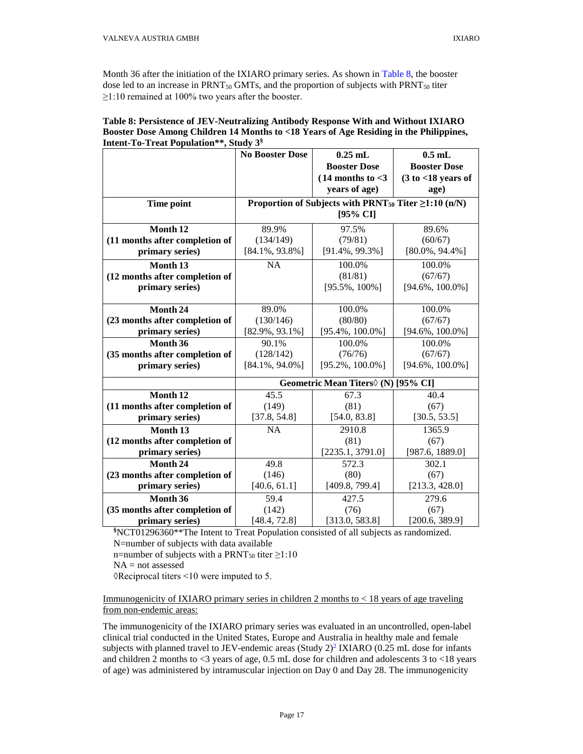Month 36 after the initiation of the IXIARO primary series. As shown in [Table 8,](#page-16-0) the booster dose led to an increase in  $PRNT<sub>50</sub>$  GMTs, and the proportion of subjects with  $PRNT<sub>50</sub>$  titer  $\geq$ 1:10 remained at 100% two years after the booster.

|                                | <b>No Booster Dose</b> | $0.25$ mL                                                              | $0.5$ mL              |
|--------------------------------|------------------------|------------------------------------------------------------------------|-----------------------|
|                                |                        | <b>Booster Dose</b>                                                    | <b>Booster Dose</b>   |
|                                |                        | $(14$ months to $<$ 3                                                  | $(3 to < 18$ years of |
|                                |                        | years of age)                                                          | age)                  |
| Time point                     |                        | Proportion of Subjects with PRNT <sub>50</sub> Titer $\geq$ 1:10 (n/N) |                       |
|                                |                        | $[95\% \text{ CI}]$                                                    |                       |
| Month 12                       |                        |                                                                        |                       |
|                                | 89.9%                  | 97.5%                                                                  | 89.6%                 |
| (11 months after completion of | (134/149)              | (79/81)                                                                | (60/67)               |
| primary series)                | $[84.1\%, 93.8\%]$     | $[91.4\%, 99.3\%]$                                                     | $[80.0\%, 94.4\%]$    |
| Month <sub>13</sub>            | <b>NA</b>              | 100.0%                                                                 | 100.0%                |
| (12 months after completion of |                        | (81/81)                                                                | (67/67)               |
| primary series)                |                        | $[95.5\%, 100\%]$                                                      | $[94.6\%, 100.0\%]$   |
|                                |                        |                                                                        |                       |
| Month 24                       | 89.0%                  | 100.0%                                                                 | 100.0%                |
| (23 months after completion of | (130/146)              | (80/80)                                                                | (67/67)               |
| primary series)                | $[82.9\%, 93.1\%]$     | $[95.4\%, 100.0\%]$                                                    | $[94.6\%, 100.0\%]$   |
| Month 36                       | 90.1%                  | 100.0%                                                                 | 100.0%                |
| (35 months after completion of | (128/142)              | (76/76)                                                                | (67/67)               |
| primary series)                | $[84.1\%, 94.0\%]$     | $[95.2\%, 100.0\%]$                                                    | $[94.6\%, 100.0\%]$   |
|                                |                        | Geometric Mean Titers∨ (N) [95% CI]                                    |                       |
| Month 12                       | 45.5                   | 67.3                                                                   | 40.4                  |
| (11 months after completion of | (149)                  | (81)                                                                   | (67)                  |
| primary series)                | [37.8, 54.8]           | [54.0, 83.8]                                                           | [30.5, 53.5]          |
| Month 13                       | <b>NA</b>              | 2910.8                                                                 | 1365.9                |
| (12 months after completion of |                        | (81)                                                                   | (67)                  |
| primary series)                |                        | [2235.1, 3791.0]                                                       | [987.6, 1889.0]       |
| Month <sub>24</sub>            | 49.8                   | 572.3                                                                  | 302.1                 |
| (23 months after completion of | (146)                  | (80)                                                                   | (67)                  |
| primary series)                | [40.6, 61.1]           | [409.8, 799.4]                                                         | [213.3, 428.0]        |
| Month 36                       | 59.4                   | 427.5                                                                  | 279.6                 |
| (35 months after completion of | (142)                  | (76)                                                                   | (67)                  |
| primary series)                | [48.4, 72.8]           | [313.0, 583.8]                                                         | [200.6, 389.9]        |

<span id="page-16-0"></span>

| Table 8: Persistence of JEV-Neutralizing Antibody Response With and Without IXIARO     |
|----------------------------------------------------------------------------------------|
| Booster Dose Among Children 14 Months to <18 Years of Age Residing in the Philippines, |
| <b>Intent-To-Treat Population**, Study 3<sup>§</sup></b>                               |

**§** NCT01296360\*\*The Intent to Treat Population consisted of all subjects as randomized. N=number of subjects with data available

n=number of subjects with a PRNT<sub>50</sub> titer  $\geq$ 1:10

NA = not assessed

 $\Diamond$ Reciprocal titers <10 were imputed to 5.

### Immunogenicity of IXIARO primary series in children 2 months to < 18 years of age traveling from non-endemic areas:

The immunogenicity of the IXIARO primary series was evaluated in an uncontrolled, open-label clinical trial conducted in the United States, Europe and Australia in healthy male and female subjects with planned travel to JEV-endemic areas (Study  $2)^2$  $2)^2$  IXIARO (0.25 mL dose for infants and children 2 months to <3 years of age, 0.5 mL dose for children and adolescents 3 to <18 years of age) was administered by intramuscular injection on Day 0 and Day 28. The immunogenicity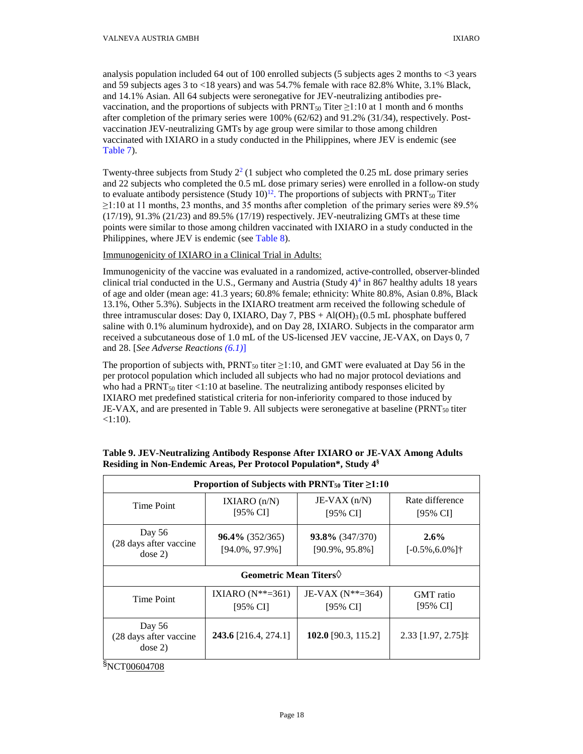analysis population included 64 out of 100 enrolled subjects (5 subjects ages 2 months to  $<3$  years and 59 subjects ages 3 to <18 years) and was 54.7% female with race 82.8% White, 3.1% Black, and 14.1% Asian. All 64 subjects were seronegative for JEV-neutralizing antibodies prevaccination, and the proportions of subjects with PRNT<sub>50</sub> Titer  $\geq$ 1:10 at 1 month and 6 months after completion of the primary series were 100% (62/62) and 91.2% (31/34), respectively. Postvaccination JEV-neutralizing GMTs by age group were similar to those among children vaccinated with IXIARO in a study conducted in the Philippines, where JEV is endemic (see [Table 7\)](#page-15-0).

Twenty-three subjects from Study  $2^2$  (1 subject who completed the 0.25 mL dose primary series and 22 subjects who completed the 0.5 mL dose primary series) were enrolled in a follow-on study to evaluate antibody persistence (Study  $10$ )<sup>12</sup>. The proportions of subjects with PRNT<sub>50</sub> Titer  $\geq$ 1:10 at 11 months, 23 months, and 35 months after completion of the primary series were 89.5%  $(17/19)$ ,  $91.3\%$   $(21/23)$  and  $89.5\%$   $(17/19)$  respectively. JEV-neutralizing GMTs at these time points were similar to those among children vaccinated with IXIARO in a study conducted in the Philippines, where JEV is endemic (see [Table 8\)](#page-16-0).

## Immunogenicity of IXIARO in a Clinical Trial in Adults:

Immunogenicity of the vaccine was evaluated in a randomized, active-controlled, observer-blinded clinical trial conducted in the U.S., Germany and Austria (Study  $4$ <sup>4</sup> in 867 healthy adults 18 years of age and older (mean age: 41.3 years; 60.8% female; ethnicity: White 80.8%, Asian 0.8%, Black 13.1%, Other 5.3%). Subjects in the IXIARO treatment arm received the following schedule of three intramuscular doses: Day 0, IXIARO, Day 7, PBS  $+$  Al(OH)<sub>3</sub> (0.5 mL phosphate buffered saline with 0.1% aluminum hydroxide), and on Day 28, IXIARO. Subjects in the comparator arm received a subcutaneous dose of 1.0 mL of the US-licensed JEV vaccine, JE-VAX, on Days 0, 7 and 28. [*[See Adverse Reactions](#page-4-9) (6.1)*]

The proportion of subjects with, PRNT<sub>50</sub> titer  $\geq$ 1:10, and GMT were evaluated at Day 56 in the per protocol population which included all subjects who had no major protocol deviations and who had a  $PRNT<sub>50</sub>$  titer  $\langle 1:10$  at baseline. The neutralizing antibody responses elicited by IXIARO met predefined statistical criteria for non-inferiority compared to those induced by JE-VAX, and are presented i[n Table](#page-17-0) 9. All subjects were seronegative at baseline (PRNT<sub>50</sub> titer  $< 1:10$ ).

| Proportion of Subjects with PRNT <sub>50</sub> Titer $\geq$ 1:10 |                                          |                                          |                                |  |
|------------------------------------------------------------------|------------------------------------------|------------------------------------------|--------------------------------|--|
| Time Point                                                       | IXIARO $(n/N)$<br>[95% CI]               | JE-VAX $(n/N)$<br>[95% CI]               | Rate difference<br>[95% CI]    |  |
| Day 56<br>(28 days after vaccine<br>dose 2)                      | $96.4\%$ (352/365)<br>$[94.0\%, 97.9\%]$ | $93.8\%$ (347/370)<br>$[90.9\%, 95.8\%]$ | 2.6%<br>$[-0.5\%, 6.0\%]$      |  |
| Geometric Mean Titers $\diamond$                                 |                                          |                                          |                                |  |
| Time Point                                                       | IXIARO $(N**=361)$<br>[95% CI]           | JE-VAX $(N^{**}=364)$<br>[95% CI]        | GMT ratio<br>[95% CI]          |  |
| Day 56<br>(28 days after vaccine<br>dose 2)                      | 243.6 [216.4, 274.1]                     | 102.0 [90.3, 115.2]                      | $2.33$ [1.97, 2.75] $\ddagger$ |  |

## <span id="page-17-0"></span>**Table 9. JEV-Neutralizing Antibody Response After IXIARO or JE-VAX Among Adults Residing in Non-Endemic Areas, Per Protocol Population\*, Study 4§**

§NCT00604708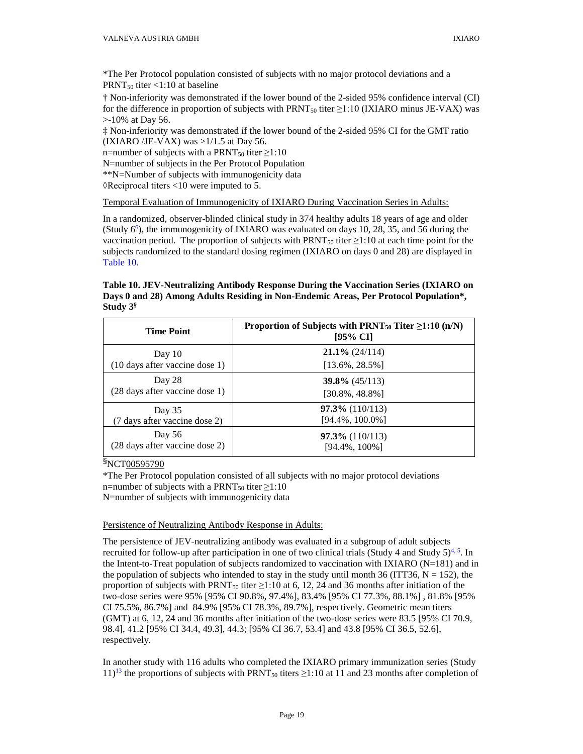\*The Per Protocol population consisted of subjects with no major protocol deviations and a PRNT $_{50}$  titer <1:10 at baseline

† Non-inferiority was demonstrated if the lower bound of the 2-sided 95% confidence interval (CI) for the difference in proportion of subjects with  $\text{PRNT}_{50}$  titer  $\geq 1:10$  (IXIARO minus JE-VAX) was >-10% at Day 56.

‡ Non-inferiority was demonstrated if the lower bound of the 2-sided 95% CI for the GMT ratio (IXIARO /JE-VAX) was  $>1/1.5$  at Day 56.

n=number of subjects with a PRNT<sub>50</sub> titer  $\geq$ 1:10

N=number of subjects in the Per Protocol Population

\*\*N=Number of subjects with immunogenicity data

 $\Diamond$ Reciprocal titers <10 were imputed to 5.

Temporal Evaluation of Immunogenicity of IXIARO During Vaccination Series in Adults:

In a randomized, observer-blinded clinical study in 374 healthy adults 18 years of age and older (Study  $6^{\circ}$ ), the immunogenicity of IXIARO was evaluated on days 10, 28, 35, and 56 during the vaccination period. The proportion of subjects with PRNT<sub>50</sub> titer  $\geq$ 1:10 at each time point for the subjects randomized to the standard dosing regimen (IXIARO on days 0 and 28) are displayed in [Table 10.](#page-18-0)

<span id="page-18-0"></span>**Table 10. JEV-Neutralizing Antibody Response During the Vaccination Series (IXIARO on Days 0 and 28) Among Adults Residing in Non-Endemic Areas, Per Protocol Population\*, Study 3§**

| <b>Time Point</b>              | Proportion of Subjects with PRNT <sub>50</sub> Titer $\geq 1:10$ (n/N)<br>[95% CI] |  |
|--------------------------------|------------------------------------------------------------------------------------|--|
| Day $10$                       | $21.1\%$ (24/114)                                                                  |  |
| (10 days after vaccine dose 1) | $[13.6\%, 28.5\%]$                                                                 |  |
| Day 28                         | $39.8\%$ (45/113)                                                                  |  |
| (28 days after vaccine dose 1) | [30.8%, 48.8%]                                                                     |  |
| Day 35                         | $97.3\%$ (110/113)                                                                 |  |
| (7 days after vaccine dose 2)  | $[94.4\%, 100.0\%]$                                                                |  |
| Day 56                         | $97.3\%$ (110/113)                                                                 |  |
| (28 days after vaccine dose 2) | [94.4%, 100%]                                                                      |  |

§NCT00595790

\*The Per Protocol population consisted of all subjects with no major protocol deviations n=number of subjects with a PRNT<sub>50</sub> titer  $\geq$ 1:10 N=number of subjects with immunogenicity data

## Persistence of Neutralizing Antibody Response in Adults:

The persistence of JEV-neutralizing antibody was evaluated in a subgroup of adult subjects recruited for follow-up after participation in one of two clinical trials (Study 4 and Study  $5)^{4, 5}$  $5)^{4, 5}$  $5)^{4, 5}$ . In the Intent-to-Treat population of subjects randomized to vaccination with IXIARO (N=181) and in the population of subjects who intended to stay in the study until month 36 (ITT36,  $N = 152$ ), the proportion of subjects with PRNT<sub>50</sub> titer  $\geq$ 1:10 at 6, 12, 24 and 36 months after initiation of the two-dose series were 95% [95% CI 90.8%, 97.4%], 83.4% [95% CI 77.3%, 88.1%] , 81.8% [95% CI 75.5%, 86.7%] and 84.9% [95% CI 78.3%, 89.7%], respectively. Geometric mean titers (GMT) at 6, 12, 24 and 36 months after initiation of the two-dose series were 83.5 [95% CI 70.9, 98.4], 41.2 [95% CI 34.4, 49.3], 44.3; [95% CI 36.7, 53.4] and 43.8 [95% CI 36.5, 52.6], respectively.

In another study with 116 adults who completed the IXIARO primary immunization series (Study  $11$ <sup>13</sup> the proportions of subjects with PRNT<sub>50</sub> titers  $\geq$ 1:10 at 11 and 23 months after completion of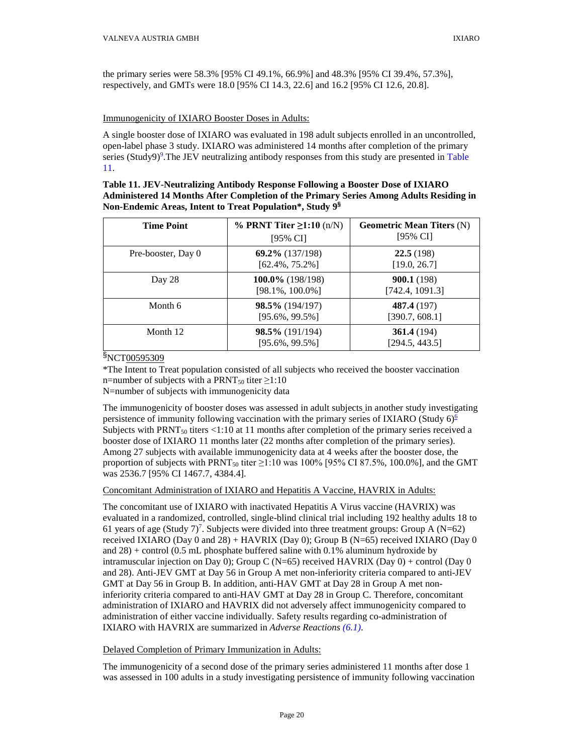the primary series were 58.3% [95% CI 49.1%, 66.9%] and 48.3% [95% CI 39.4%, 57.3%], respectively, and GMTs were 18.0 [95% CI 14.3, 22.6] and 16.2 [95% CI 12.6, 20.8].

## Immunogenicity of IXIARO Booster Doses in Adults:

A single booster dose of IXIARO was evaluated in 198 adult subjects enrolled in an uncontrolled, open-label phase 3 study. IXIARO was administered 14 months after completion of the primary series (Study9)<sup>9</sup>. The JEV neutralizing antibody responses from this study are presented in Table [11.](#page-19-0)

<span id="page-19-0"></span>

| Table 11. JEV-Neutralizing Antibody Response Following a Booster Dose of IXIARO        |
|----------------------------------------------------------------------------------------|
| Administered 14 Months After Completion of the Primary Series Among Adults Residing in |
| <b>Non-Endemic Areas, Intent to Treat Population*, Study 98</b>                        |

| <b>Time Point</b>  | % PRNT Titer $\geq$ 1:10 (n/N)<br>$[95\% \text{ CI}]$ | <b>Geometric Mean Titers (N)</b><br>[95% CI] |
|--------------------|-------------------------------------------------------|----------------------------------------------|
| Pre-booster, Day 0 | $69.2\%$ (137/198)<br>$[62.4\%, 75.2\%]$              | 22.5(198)<br>[19.0, 26.7]                    |
| Day 28             | $100.0\%$ (198/198)<br>$[98.1\%, 100.0\%]$            | 900.1(198)<br>[742.4, 1091.3]                |
| Month 6            | 98.5% (194/197)<br>$[95.6\%, 99.5\%]$                 | 487.4 (197)<br>[390.7, 608.1]                |
| Month 12           | $98.5\%$ (191/194)<br>$[95.6\%, 99.5\%]$              | 361.4(194)<br>[294.5, 443.5]                 |

§NCT00595309

\*The Intent to Treat population consisted of all subjects who received the booster vaccination n=number of subjects with a PRNT<sub>50</sub> titer  $\geq$ 1:10

N=number of subjects with immunogenicity data

The immunogenicity of booster doses was assessed in adult subjects in another study investigating persistence of immunity following vaccination with the primary series of IXIARO (Study 6[\)](#page-20-0)<sup>6</sup> Subjects with PRNT $_{50}$  titers <1:10 at 11 months after completion of the primary series received a booster dose of IXIARO 11 months later (22 months after completion of the primary series). Among 27 subjects with available immunogenicity data at 4 weeks after the booster dose, the proportion of subjects with PRNT<sub>50</sub> titer  $\geq$ 1:10 was 100% [95% CI 87.5%, 100.0%], and the GMT was 2536.7 [95% CI 1467.7, 4384.4].

Concomitant Administration of IXIARO and Hepatitis A Vaccine, HAVRIX in Adults:

The concomitant use of IXIARO with inactivated Hepatitis A Virus vaccine (HAVRIX) was evaluated in a randomized, controlled, single-blind clinical trial including 192 healthy adults 18 to 61 years of age (Study  $7$ )<sup>7</sup>. Subjects were divided into three treatment groups: Group A (N=62) received IXIARO (Day 0 and 28) + HAVRIX (Day 0); Group B (N=65) received IXIARO (Day 0 and  $28$ ) + control (0.5 mL phosphate buffered saline with 0.1% aluminum hydroxide by intramuscular injection on Day 0); Group C (N=65) received HAVRIX (Day  $0$ ) + control (Day 0) and 28). Anti-JEV GMT at Day 56 in Group A met non-inferiority criteria compared to anti-JEV GMT at Day 56 in Group B. In addition, anti-HAV GMT at Day 28 in Group A met noninferiority criteria compared to anti-HAV GMT at Day 28 in Group C. Therefore, concomitant administration of IXIARO and HAVRIX did not adversely affect immunogenicity compared to administration of either vaccine individually. Safety results regarding co-administration of IXIARO with HAVRIX are summarized in *[Adverse Reactions](#page-2-8) (6.1)*.

## Delayed Completion of Primary Immunization in Adults:

The immunogenicity of a second dose of the primary series administered 11 months after dose 1 was assessed in 100 adults in a study investigating persistence of immunity following vaccination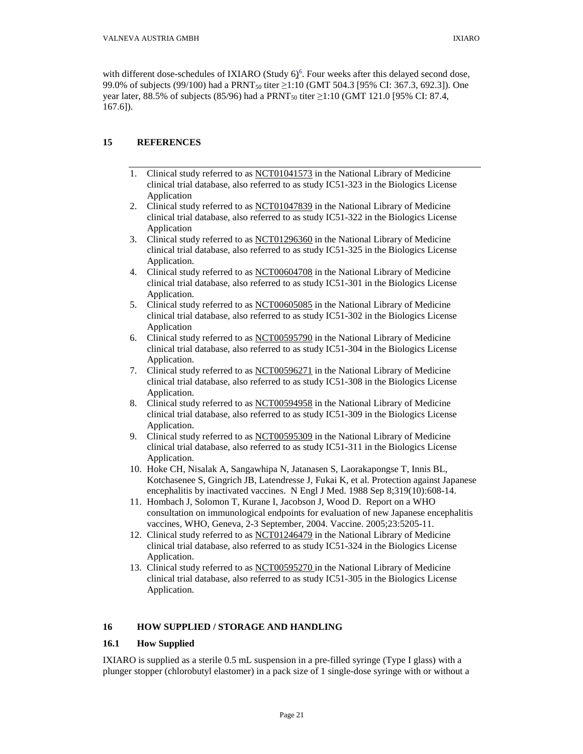with different dose-schedules of IXIARO (Study  $6$ <sup>6</sup>)[.](#page-20-0) Four weeks after this delayed second dose, 99.0% of subjects (99/100) had a PRNT<sub>50</sub> titer ≥1:10 (GMT 504.3 [95% CI: 367.3, 692.3]). One year later, 88.5% of subjects (85/96) had a PRNT<sub>50</sub> titer  $\geq$ 1:10 (GMT 121.0 [95% CI: 87.4, 167.6]).

# <span id="page-20-0"></span>**15 REFERENCES**

- 1. Clinical study referred to as NCT01041573 in the National Library of Medicine clinical trial database, also referred to as study IC51-323 in the Biologics License Application
- 2. Clinical study referred to as NCT01047839 in the National Library of Medicine clinical trial database, also referred to as study IC51-322 in the Biologics License Application
- 3. Clinical study referred to as NCT01296360 in the National Library of Medicine clinical trial database, also referred to as study IC51-325 in the Biologics License Application.
- 4. Clinical study referred to as NCT00604708 in the National Library of Medicine clinical trial database, also referred to as study IC51-301 in the Biologics License Application.
- 5. Clinical study referred to as NCT00605085 in the National Library of Medicine clinical trial database, also referred to as study IC51-302 in the Biologics License Application
- 6. Clinical study referred to as NCT00595790 in the National Library of Medicine clinical trial database, also referred to as study IC51-304 in the Biologics License Application.
- 7. Clinical study referred to as NCT00596271 in the National Library of Medicine clinical trial database, also referred to as study IC51-308 in the Biologics License Application.
- 8. Clinical study referred to as NCT00594958 in the National Library of Medicine clinical trial database, also referred to as study IC51-309 in the Biologics License Application.
- 9. Clinical study referred to as NCT00595309 in the National Library of Medicine clinical trial database, also referred to as study IC51-311 in the Biologics License Application.
- 10. Hoke CH, Nisalak A, Sangawhipa N, Jatanasen S, Laorakapongse T, Innis BL, Kotchasenee S, Gingrich JB, Latendresse J, Fukai K, et al. Protection against Japanese encephalitis by inactivated vaccines. N Engl J Med. 1988 Sep 8;319(10):608-14.
- 11. Hombach J, Solomon T, Kurane I, Jacobson J, Wood D. Report on a WHO consultation on immunological endpoints for evaluation of new Japanese encephalitis vaccines, WHO, Geneva, 2-3 September, 2004. Vaccine. 2005;23:5205-11.
- 12. Clinical study referred to as NCT01246479 in the National Library of Medicine clinical trial database, also referred to as study IC51-324 in the Biologics License Application.
- 13. Clinical study referred to as NCT00595270 in the National Library of Medicine clinical trial database, also referred to as study IC51-305 in the Biologics License Application.

# <span id="page-20-1"></span>**16 HOW SUPPLIED / STORAGE AND HANDLING**

## <span id="page-20-2"></span>**16.1 How Supplied**

IXIARO is supplied as a sterile 0.5 mL suspension in a pre-filled syringe (Type I glass) with a plunger stopper (chlorobutyl elastomer) in a pack size of 1 single-dose syringe with or without a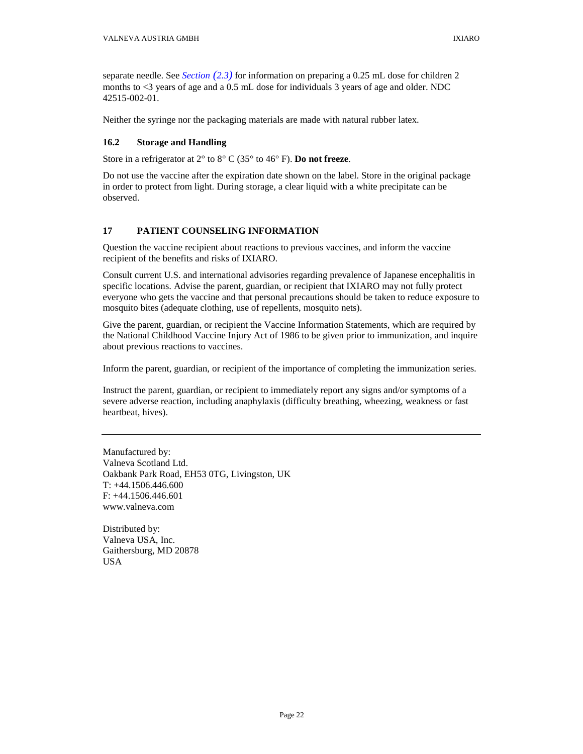separate needle. See *Section [\(2.3\)](#page-2-7)* for information on preparing a 0.25 mL dose for children 2 months to <3 years of age and a 0.5 mL dose for individuals 3 years of age and older. NDC 42515-002-01.

Neither the syringe nor the packaging materials are made with natural rubber latex.

## <span id="page-21-1"></span>**16.2 Storage and Handling**

Store in a refrigerator at 2° to 8° C (35° to 46° F). **Do not freeze**.

Do not use the vaccine after the expiration date shown on the label. Store in the original package in order to protect from light. During storage, a clear liquid with a white precipitate can be observed.

# <span id="page-21-2"></span>**17 PATIENT COUNSELING INFORMATION**

Question the vaccine recipient about reactions to previous vaccines, and inform the vaccine recipient of the benefits and risks of IXIARO.

<span id="page-21-0"></span>Consult current U.S. and international advisories regarding prevalence of Japanese encephalitis in specific locations. Advise the parent, guardian, or recipient that IXIARO may not fully protect everyone who gets the vaccine and that personal precautions should be taken to reduce exposure to mosquito bites (adequate clothing, use of repellents, mosquito nets).

Give the parent, guardian, or recipient the Vaccine Information Statements, which are required by the National Childhood Vaccine Injury Act of 1986 to be given prior to immunization, and inquire about previous reactions to vaccines.

Inform the parent, guardian, or recipient of the importance of completing the immunization series.

Instruct the parent, guardian, or recipient to immediately report any signs and/or symptoms of a severe adverse reaction, including anaphylaxis (difficulty breathing, wheezing, weakness or fast heartbeat, hives).

Manufactured by: Valneva Scotland Ltd. Oakbank Park Road, EH53 0TG, Livingston, UK T: +44.1506.446.600 F: +44.1506.446.601 www.valneva.com

Distributed by: Valneva USA, Inc. Gaithersburg, MD 20878 USA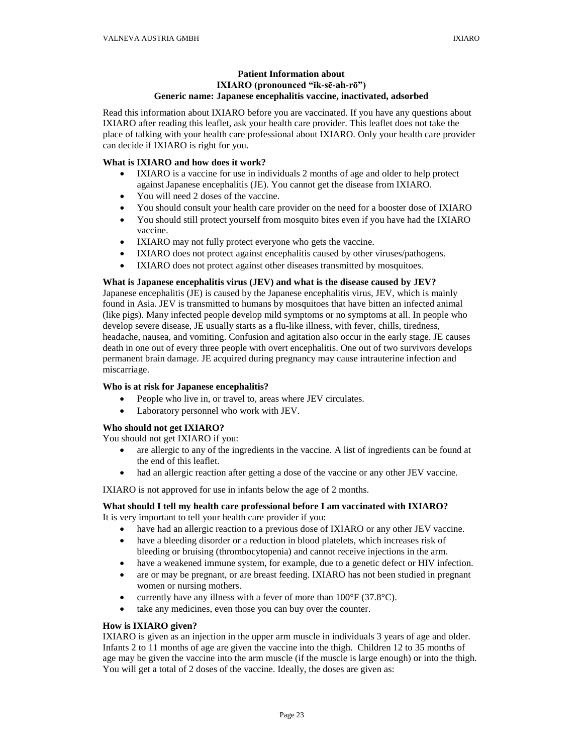# **Patient Information about IXIARO (pronounced "ĭk-sē-ah-rō") Generic name: Japanese encephalitis vaccine, inactivated, adsorbed**

Read this information about IXIARO before you are vaccinated. If you have any questions about IXIARO after reading this leaflet, ask your health care provider. This leaflet does not take the place of talking with your health care professional about IXIARO. Only your health care provider can decide if IXIARO is right for you.

## **What is IXIARO and how does it work?**

- IXIARO is a vaccine for use in individuals 2 months of age and older to help protect against Japanese encephalitis (JE). You cannot get the disease from IXIARO.
- You will need 2 doses of the vaccine.
- You should consult your health care provider on the need for a booster dose of IXIARO
- You should still protect yourself from mosquito bites even if you have had the IXIARO vaccine.
- IXIARO may not fully protect everyone who gets the vaccine.
- IXIARO does not protect against encephalitis caused by other viruses/pathogens.
- IXIARO does not protect against other diseases transmitted by mosquitoes.

## **What is Japanese encephalitis virus (JEV) and what is the disease caused by JEV?**

Japanese encephalitis (JE) is caused by the Japanese encephalitis virus, JEV, which is mainly found in Asia. JEV is transmitted to humans by mosquitoes that have bitten an infected animal (like pigs). Many infected people develop mild symptoms or no symptoms at all. In people who develop severe disease, JE usually starts as a flu-like illness, with fever, chills, tiredness, headache, nausea, and vomiting. Confusion and agitation also occur in the early stage. JE causes death in one out of every three people with overt encephalitis. One out of two survivors develops permanent brain damage. JE acquired during pregnancy may cause intrauterine infection and miscarriage.

## **Who is at risk for Japanese encephalitis?**

- People who live in, or travel to, areas where JEV circulates.
- Laboratory personnel who work with JEV.

## **Who should not get IXIARO?**

You should not get IXIARO if you:

- are allergic to any of the ingredients in the vaccine. A list of ingredients can be found at the end of this leaflet.
- had an allergic reaction after getting a dose of the vaccine or any other JEV vaccine.

IXIARO is not approved for use in infants below the age of 2 months.

# **What should I tell my health care professional before I am vaccinated with IXIARO?**

It is very important to tell your health care provider if you:

- have had an allergic reaction to a previous dose of IXIARO or any other JEV vaccine.
- have a bleeding disorder or a reduction in blood platelets, which increases risk of bleeding or bruising (thrombocytopenia) and cannot receive injections in the arm.
- have a weakened immune system, for example, due to a genetic defect or HIV infection.
- are or may be pregnant, or are breast feeding. IXIARO has not been studied in pregnant women or nursing mothers.
- currently have any illness with a fever of more than  $100^{\circ}$ F (37.8 $^{\circ}$ C).
- take any medicines, even those you can buy over the counter.

## **How is IXIARO given?**

IXIARO is given as an injection in the upper arm muscle in individuals 3 years of age and older. Infants 2 to 11 months of age are given the vaccine into the thigh. Children 12 to 35 months of age may be given the vaccine into the arm muscle (if the muscle is large enough) or into the thigh. You will get a total of 2 doses of the vaccine. Ideally, the doses are given as: